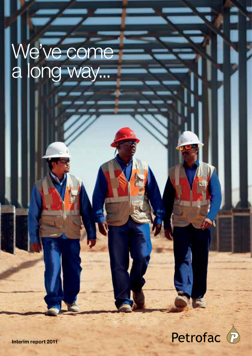# We've come a long way...



Interim report 2011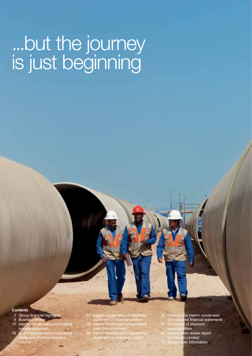# ...but the journey is just beginning

#### **Contents**

- 2 Group financial highlights
- 
- 4 Business review 15 Interim condensed consolidated income statement
- 16 Interim condensed consolidated tement of comprehensive income
- 17 Interim condensed consolidated<br>
statement of financial position<br>
18 Interim condensed consolidated<br>
20 Interim condensed consolidated<br>
statement of changes in equity
- 
- 
- 22 Notes to the interim condensed consolidated financial statements
- 31 Statement of directors'
	- bilities
	- Independent review report
	-
- to Petrofac Limited 33 Shareholder information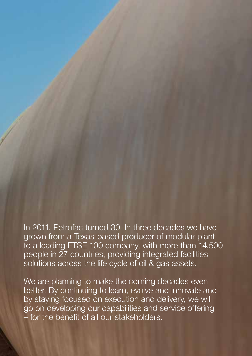In 2011, Petrofac turned 30. In three decades we have grown from a Texas-based producer of modular plant to a leading FTSE 100 company, with more than 14,500 people in 27 countries, providing integrated facilities solutions across the life cycle of oil & gas assets.

We are planning to make the coming decades even better. By continuing to learn, evolve and innovate and by staying focused on execution and delivery, we will go on developing our capabilities and service offering – for the benefit of all our stakeholders.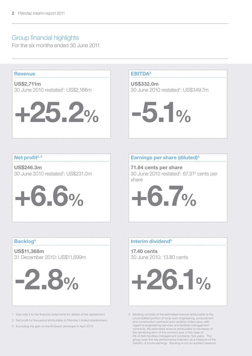# Group financial highlights

For the six months ended 30 June 2011



See note 2 to the financial statements for details of the restatement

2 Net profit for the period attributable to Petrofac Limited shareholders.

3 Excluding the gain on the EnQuest demerger in April 2010.

uncompleted portion of lump-sum engineering, procurement and construction contracts and variation orders plus, with regard to engineering services and facilities management contracts, the estimated revenue attributable to the lesser of the remaining term of the contract and, in the case of life-of-field facilities management contracts, five years. The group uses this key performance indicator as a measure of the visibility of future earnings. Backlog is not an audited measure.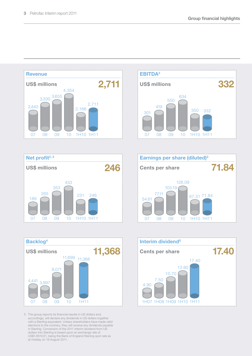

1H07 1H08 1H09 1H10 1H11

........................

5 The group reports its financial results in US dollars and, accordingly, will declare any dividends in US dollars together with a Sterling equivalent. Unless shareholders have made valid elections to the contrary, they will receive any dividends payable in Sterling. Conversion of the 2011 interim dividend from US dollars into Sterling is based upon an exchange rate of US\$1.6510:£1, being the Bank of England Sterling spot rate as at midday on 19 August 2011.

07 08 09 10 1H11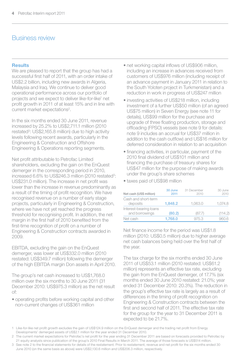# Business review

### Results

We are pleased to report that the group has had a successful first half of 2011, with an order intake of US\$2.2 billion, including new awards in Algeria, Malaysia and Iraq. We continue to deliver good operational performance across our portfolio of projects and we expect to deliver like-for-like<sup>1</sup> net profit growth in 2011 of at least 15% and in line with current market expectations<sup>2</sup>.

In the six months ended 30 June 2011, revenue increased by 25.2% to US\$2,711.1 million (2010 restated<sup>3</sup>: US\$2,165.8 million) due to high activity levels following recent awards, particularly in the Engineering & Construction and Offshore Engineering & Operations reporting segments.

Net profit attributable to Petrofac Limited shareholders, excluding the gain on the EnQuest demerger in the corresponding period in 2010, increased 6.6% to US\$246.3 million (2010 restated<sup>3</sup>: US\$231.0 million). The increase in net profit was lower than the increase in revenue predominantly as a result of the timing of profit recognition. We have recognised revenue on a number of early stage projects, particularly in Engineering & Construction, where we have not yet reached the progress threshold for recognising profit. In addition, the net margin in the first half of 2010 benefited from the first-time recognition of profit on a number of Engineering & Construction contracts awarded in 2009.

EBITDA, excluding the gain on the EnQuest demerger, was lower at US\$332.0 million (2010 restated: US\$349.7 million) following the demerger of the high EBITDA margin Don assets in April 2010.

The group's net cash increased to US\$1,768.0 million over the six months to 30 June 2011 (31 December 2010: US\$975.3 million) as the net result of:

• operating profits before working capital and other non-current changes of US\$361 million

- net working capital inflows of US\$906 million. including an increase in advances received from customers of US\$976 million (including receipt of an advance payment in January 2011 in relation to the South Yoloten project in Turkmenistan) and a reduction in work in progress of US\$247 million
- investing activities of US\$218 million, including investment of a further US\$50 million (of an agreed US\$75 million) in Seven Energy (see note 11 for details), US\$99 million for the purchase and upgrade of three floating production, storage and offloading (FPSO) vessels (see note 9 for details: note 9 includes an accrual for US\$37 million in addition to the cash outflow) and US\$16 million for deferred consideration in relation to an acquisition
- financing activities, in particular, payment of the 2010 final dividend of US\$101 million and financing the purchase of treasury shares for US\$47 million for the purpose of making awards under the group's share schemes
- taxes paid of US\$98 million

| Net cash (US\$ million)                  | 30 June<br>2011 | 31 December<br>2010 | 30 June<br>2010 |
|------------------------------------------|-----------------|---------------------|-----------------|
| Cash and short-term<br>deposits          | 1.848.2         | 1.063.0             | 1.074.8         |
| Interest-bearing loans<br>and borrowings | (80.2)          | (87.7)              | (114.2)         |
| Net cash                                 | 1.768.0         | 975.3               | 960.6           |

Net finance income for the period was US\$1.8 million (2010: US\$0.5 million) due to higher average net cash balances being held over the first half of the year.

The tax charge for the six months ended 30 June 2011 of US\$53.1 million (2010 restated: US\$61.2 million) represents an effective tax rate, excluding the gain from the EnQuest demerger, of 17.7% (six months ended 30 June 2010 restated: 21.0%; year ended 31 December 2010: 20.3%). The reduction in the group's effective tax rate is largely as a result of differences in the timing of profit recognition on Engineering & Construction contracts between the first and second half of 2011. The effective tax rate for the group for the year to 31 December 2011 is expected to be 21.7%.

- 1 Like-for-like net profit growth excludes the gain of US\$124.9 million on the EnQuest demerger and the trading net profit from Energy Developments' demerged assets of US\$2.1 million for the year ended 31 December 2010.
- 2 The current market expectations for Petrofac's net profit for the year ending 31 December 2011 are based on forecasts provided to Petrofac by 21 equity analysts since publication of the group's 2010 Final Results in March 2011. The average of those forecasts is US\$514 million.
- 3 See note 2 to the financial statements for details of the restatement. Prior to restatement, revenue and net profit for the six months ended 30 June 2010 (on the same basis as above) were US\$2,130.6 million and US\$206.3 million, respectively.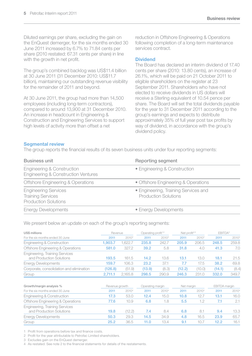Diluted earnings per share, excluding the gain on the EnQuest demerger, for the six months ended 30 June 2011 increased by 6.7% to 71.84 cents per share (2010 restated: 67.31 cents per share) in line with the growth in net profit.

The group's combined backlog was US\$11.4 billion at 30 June 2011 (31 December 2010: US\$11.7 billion), maintaining our outstanding revenue visibility for the remainder of 2011 and beyond.

At 30 June 2011, the group had more than 14,500 employees (including long-term contractors), compared to around 13,900 at 31 December 2010. An increase in headcount in Engineering & Construction and Engineering Services to support high levels of activity more than offset a net

reduction in Offshore Engineering & Operations following completion of a long-term maintenance services contract.

## Dividend

The Board has declared an interim dividend of 17.40 cents per share (2010: 13.80 cents), an increase of 26.1%, which will be paid on 21 October 2011 to eligible shareholders on the register at 23 September 2011. Shareholders who have not elected to receive dividends in US dollars will receive a Sterling equivalent of 10.54 pence per share. The Board will set the total dividends payable for the year to 31 December 2011 according to the group's earnings and expects to distribute approximately 35% of full year post tax profits by way of dividend, in accordance with the group's dividend policy.

### Segmental review

The group reports the financial results of its seven business units under four reporting segments:

| <b>Business unit</b>                                                                   | Reporting segment                                                   |
|----------------------------------------------------------------------------------------|---------------------------------------------------------------------|
| Engineering & Construction<br>Engineering & Construction Ventures                      | • Engineering & Construction                                        |
| <b>Offshore Engineering &amp; Operations</b>                                           | • Offshore Engineering & Operations                                 |
| <b>Engineering Services</b><br><b>Training Services</b><br><b>Production Solutions</b> | • Engineering, Training Services and<br><b>Production Solutions</b> |
| <b>Energy Developments</b>                                                             | • Energy Developments                                               |

We present below an update on each of the group's reporting segments:

| US\$ millions                                                     |         | Revenue           |        | Operating profit <sup>1,3</sup> |        | Net profit <sup>2,3</sup> |        | EBITDA <sup>3</sup> |  |
|-------------------------------------------------------------------|---------|-------------------|--------|---------------------------------|--------|---------------------------|--------|---------------------|--|
| For the six months ended 30 June                                  | 2011    | 2010 <sup>4</sup> | 2011   | 20104                           | 2011   | 20104                     | 2011   | 2010 <sup>4</sup>   |  |
| Engineering & Construction                                        | .903.7  | .622.7            | 235.8  | 242.7                           | 205.9  | 206.5                     | 248.5  | 259.8               |  |
| Offshore Engineering & Operations                                 | 581.0   | 327.2             | 39.2   | 5.8                             | 31.8   | 4.0                       | 41.3   | 7.0                 |  |
| <b>Engineering, Training Services</b><br>and Production Solutions | 193.5   | 161.5             | 14.2   | 13.6                            | 13.1   | 13.0                      | 18.1   | 21.5                |  |
| <b>Energy Developments</b>                                        | 159.7   | 106.3             | 23.2   | 37.1                            | 7.7    | 17.5                      | 38.2   | 69.8                |  |
| Corporate, consolidation and elimination                          | 126.8   | (51.9)            | (13.9) | (8.3)                           | (12.2) | (10.0)                    | (14.1) | (8.4)               |  |
| Group                                                             | 2.711.1 | 2.165.8           | 298.5  | 290.9                           | 246.3  | 231.0                     | 332.0  | 349.7               |  |

| Growth/margin analysis %                                          |      | Revenue growth |      | Operating margin |      | Net margin |      | EBITDA margin     |  |
|-------------------------------------------------------------------|------|----------------|------|------------------|------|------------|------|-------------------|--|
| For the six months ended 30 June                                  | 2011 | 20104          | 2011 | 20104            | 2011 | 20104      | 2011 | 2010 <sup>4</sup> |  |
| Engineering & Construction                                        | 17.3 | 53.0           | 12.4 | 15.0             | 10.8 | 12.7       | 13.1 | 16.0              |  |
| Offshore Engineering & Operations                                 | 77.6 | 10.9           | 6.8  | 1.8              | 5.5  | 1.2        | 7.1  | 2.1               |  |
| <b>Engineering, Training Services</b><br>and Production Solutions | 19.8 | (12.2)         | 7.4  | 8.4              | 6.8  | 8.1        | 9.4  | 13.3              |  |
| <b>Energy Developments</b>                                        | 50.3 | 29.3           | 14.5 | 34.9             | 4.8  | 16.5       | 23.9 | 65.7              |  |
| Group                                                             | 25.2 | 36.5           | 11.0 | 13.4             |      | 10.7       | 12.2 | 16.1              |  |

1 Profit from operations before tax and finance costs.

2 Profit for the year attributable to Petrofac Limited shareholders.

3 Excludes gain on the EnQuest demerger.

4 As restated. See note 2 to the financial statements for details of the restatements.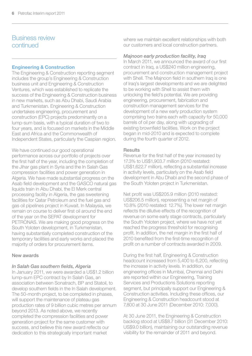# Business review continued

### Engineering & Construction

The Engineering & Construction reporting segment includes the group's Engineering & Construction business unit and Engineering & Construction Ventures, which was established to replicate the success of the Engineering & Construction business in new markets, such as Abu Dhabi, Saudi Arabia and Turkmenistan. Engineering & Construction undertakes engineering, procurement and construction (EPC) projects predominantly on a lump-sum basis, with a typical duration of two to four years, and is focused on markets in the Middle East and Africa and the Commonwealth of Independent States, particularly the Caspian region.

We have continued our good operational performance across our portfolio of projects over the first half of the year, including the completion of the Jihar gas plant in Syria and the In Salah Gas compression facilities and power generation in Algeria. We have made substantial progress on the Asab field development and the GASCO natural gas liquids train in Abu Dhabi, the El Merk central processing facility in Algeria, the gas sweetening facilities for Qatar Petroleum and the fuel gas and gas oil pipelines project in Kuwait. In Malaysia, we remain on course to deliver first oil around the end of the year on the SEPAT development for PETRONAS. We are making good progress on the South Yoloten development, in Turkmenistan, having substantially completed construction of the temporary facilities and early works and placed the majority of orders for procurement items.

### New awards

# *In Salah Gas southern fields, Algeria*

In January 2011, we were awarded a US\$1.2 billion lump-sum EPC contract by In Salah Gas, an association between Sonatrach, BP and Statoil, to develop southern fields in the In Salah development. The 50-month project, to be completed in phases, will support the maintenance of plateau gas production rates of 9 billion cubic metres per annum beyond 2013. As noted above, we recently completed the compression facilities and power generation project for the same customer with success, and believe this new award reflects our dedication to this strategically important market

where we maintain excellent relationships with both our customers and local construction partners.

# *Majnoon early production facility, Iraq*

In March 2011, we announced the award of our first contract in Iraq, a US\$240 million engineering, procurement and construction management project with Shell. The Mainoon field in southern Iraq is one of Iraq's largest developments and we are delighted to be working with Shell to assist them with unlocking the field's potential. We are providing engineering, procurement, fabrication and construction management services for the development of a new early production system comprising two trains each with capacity for 50,000 barrels of oil per day, along with upgrading of existing brownfield facilities. Work on the project began in mid-2010 and is expected to complete during the fourth quarter of 2012.

### Results

Revenue for the first half of the year increased by 17.3% to US\$1,903.7 million (2010 restated: US\$1,622.7 million), reflecting a substantial increase in activity levels, particularly on the Asab field development in Abu Dhabi and the second phase of the South Yoloten project in Turkmenistan.

Net profit was US\$205.9 million (2010 restated: US\$206.5 million), representing a net margin of 10.8% (2010 restated: 12.7%). The lower net margin reflects the dilutive effects of the recognition of revenue on some early stage contracts, particularly the South Yoloten project, where we have not yet reached the progress threshold for recognising profit. In addition, the net margin in the first half of 2010 benefited from the first-time recognition of profit on a number of contracts awarded in 2009.

During the first half, Engineering & Construction headcount increased from 5,400 to 6,200, reflecting the increase in activity levels. In addition, our engineering offices in Mumbai, Chennai and Delhi are reported within our Engineering, Training Services and Productions Solutions reporting segment, but principally support our Engineering & Construction activities. Including these offices, our Engineering & Construction headcount stood at 7,800 at 30 June 2011 (December 2010: 7,000).

At 30 June 2011, the Engineering & Construction backlog stood at US\$8.7 billion (31 December 2010: US\$9.0 billion), maintaining our outstanding revenue visibility for the remainder of 2011 and beyond.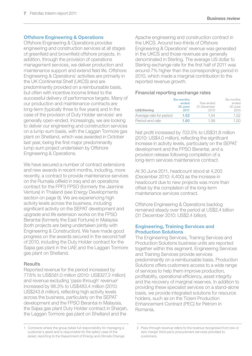## Offshore Engineering & Operations

Offshore Engineering & Operations provides engineering and construction services at all stages of greenfield and brownfield offshore projects. In addition, through the provision of operations management services, we deliver production and maintenance support and extend field life. Offshore Engineering & Operations' activities are primarily in the UK Continental Shelf (UKCS) and are predominantly provided on a reimbursable basis, but often with incentive income linked to the successful delivery of performance targets. Many of our production and maintenance contracts are long-term (typically three to five years) and in the case of the provision of Duty Holder services<sup>1</sup> are generally open-ended. Increasingly, we are looking to deliver our engineering and construction services on a lump-sum basis, with the Laggan Tormore gas plant on Shetland, which was awarded in October last year, being the first major predominantly lump-sum project undertaken by Offshore Engineering & Operations.

We have secured a number of contract extensions and new awards in recent months, including, more recently, a contract to provide maintenance services on the Rumaila oilfield in Iraq and an operations contract for the FPF3 FPSO (formerly the Jasmine Venture) in Thailand (see Energy Developments section on page 9). We are experiencing high activity levels across the business, including significant activity on the SEPAT development and upgrade and life extension works on the FPSO Berantai (formerly the East Fortune) in Malaysia (both projects are being undertaken jointly with Engineering & Construction). We have made good progress on the awards secured in the second half of 2010, including the Duty Holder contract for the Sajaa gas plant in the UAE and the Laggan Tormore gas plant on Shetland.

### **Results**

Reported revenue for the period increased by 77.6% to US\$581.0 million (2010: US\$327.2 million) and revenue excluding 'pass-through' revenue<sup>2</sup> increased by 98.3% to US\$483.4 million (2010: US\$243.8 million), reflecting high activity levels across the business, particularly on the SEPAT development and the FPSO Berantai in Malaysia, the Sajaa gas plant Duty Holder contract in Sharjah, the Laggan Tormore gas plant on Shetland and the

Apache engineering and construction contract in the UKCS. Around two-thirds of Offshore Engineering & Operations' revenue was generated in the UKCS and those revenues are generally denominated in Sterling. The average US dollar to Sterling exchange rate for the first half of 2011 was around 7% higher than the corresponding period in 2010, which made a marginal contribution to the reported revenue growth.

## Financial reporting exchange rates

| US\$/Sterling           | <b>Six months</b><br>ended<br>30 June<br>2011 | Year ended<br>31 December<br>2010 | Six months<br>ended<br>30 June<br>2010 |
|-------------------------|-----------------------------------------------|-----------------------------------|----------------------------------------|
| Average rate for period | 1.62                                          | 1.54                              | 1.52                                   |
| Period-end rate         | 1.60                                          | 1.56                              | 1.50                                   |

Net profit increased by 703.5% to US\$31.8 million (2010: US\$4.0 million), reflecting the significant increase in activity levels, particularly on the SEPAT development and the FPSO Berantai, and a provision release following completion of a long-term services maintenance contract.

At 30 June 2011, headcount stood at 4,200 (December 2010: 4,400) as the increase in headcount due to new projects was more than offset by the completion of the long-term maintenance services contract.

Offshore Engineering & Operations backlog remained steady over the period at US\$2.4 billion (31 December 2010: US\$2.4 billion).

### Engineering, Training Services and Production Solutions

The Engineering Services, Training Services and Production Solutions business units are reported together within this segment. Engineering Services and Training Services provide services predominantly on a reimbursable basis. Production Solutions offers customers access to a wide range of services to help them improve production, profitability, operational efficiency, asset integrity and the recovery of marginal reserves. In addition to providing these specialist services on a stand-alone basis, we provide integrated solutions for resource holders, such as on the Ticleni Production Enhancement Contract (PEC) for Petrom in Romania.

<sup>1</sup> Contracts where the group takes full responsibility for managing a customer's asset and is responsible for the safety case of the asset, reporting to the Department of Energy and Climate Change.

<sup>2</sup> Pass-through revenue refers to the revenue recognised from low or zero margin third-party procurement services provided to customers.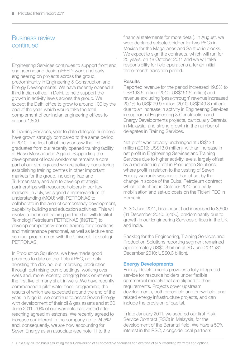# Business review continued

Engineering Services continues to support front end engineering and design (FEED) work and early engineering on projects across the group, predominantly in Engineering & Construction and Energy Developments. We have recently opened a third Indian office, in Delhi, to help support the growth in activity levels across the group. We expect the Delhi office to grow to around 100 by the end of the year, which would take the total complement of our Indian engineering offices to around 1,800.

In Training Services, year to date delegate numbers have grown strongly compared to the same period in 2010. The first half of the year saw the first graduates from our recently opened training facility at Hassi Messaoud in Algeria. Supporting the development of local workforces remains a core part of our strategy and we are actively considering establishing training centres in other important markets for the group, including Iraq and Turkmenistan, and aim to develop strategic partnerships with resource holders in our key markets. In July, we signed a memorandum of understanding (MOU) with PETRONAS to collaborate in the area of competency development, capability building and education activities. This will involve a technical training partnership with Institut Teknologi Petroleum PETRONAS (INSTEP) to develop competency-based training for operations and maintenance personnel, as well as lecture and seminar programmes with the Universiti Teknologi **PETRONAS** 

In Production Solutions, we have made good progress to date on the Ticleni PEC, not only arresting the decline, but improving production through optimising pump settings, working over wells and, more recently, bringing back on-stream the first five of many shut-in wells. We have recently commenced a pilot water flood programme, the results of which are expected around the end of the year. In Nigeria, we continue to assist Seven Energy with development of their oil & gas assets and at 30 June 2011, 70% of our warrants had vested after reaching agreed milestones. We recently agreed to increase our interest in the company up to 24.5%1 and, consequently, we are now accounting for Seven Energy as an associate (see note 11 to the

financial statements for more detail). In August, we were declared selected bidder for two PECs in Mexico for the Magallanes and Santuario blocks. We expect to sign the contracts, which will run for 25 years, on 18 October 2011 and we will take responsibility for field operations after an initial three-month transition period.

### **Results**

Reported revenue for the period increased 19.8% to US\$193.5 million (2010: US\$161.5 million) and revenue excluding 'pass-through' revenue increased 20.1% to US\$179.9 million (2010: US\$149.8 million), due to an increase in activity in Engineering Services in support of Engineering & Construction and Energy Developments projects, particularly Berantai in Malaysia, and strong growth in the number of delegates in Training Services.

Net profit was broadly unchanged at US\$13.1 million (2010: US\$13.0 million), with an increase in net profit in Engineering Services and Training Services due to higher activity levels, largely offset by a reduction in profit in Production Solutions, where profit in relation to the vesting of Seven Energy warrants was more than offset by the change in scope of the Dubai Petroleum contract which took effect in October 2010 and early mobilisation and set-up costs on the Ticleni PEC in Romania.

At 30 June 2011, headcount had increased to 3,600 (31 December 2010: 3,400), predominantly due to growth in our Engineering Services offices in the UK and India.

Backlog for the Engineering, Training Services and Production Solutions reporting segment remained approximately US\$0.3 billion at 30 June 2011 (31 December 2010: US\$0.3 billion).

### Energy Developments

Energy Developments provides a fully integrated service for resource holders under flexible commercial models that are aligned to their requirements. Projects cover upstream developments, both greenfield and brownfield, and related energy infrastructure projects, and can include the provision of capital.

In late January 2011, we secured our first Risk Service Contract (RSC) in Malaysia, for the development of the Berantai field. We have a 50% interest in the RSC, alongside local partners

1 On a fully diluted basis assuming the full conversion of all convertible securities and exercise of all outstanding warrants and options.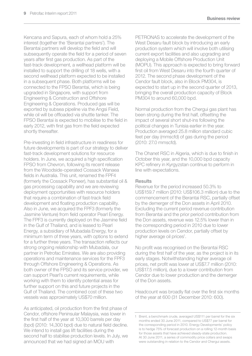Kencana and Sapura, each of whom hold a 25% interest (together the 'Berantai partners'). The Berantai partners will develop the field and will subsequently operate the field for a period of seven years after first gas production. As part of the fast-track development, a wellhead platform will be installed to support the drilling of 18 wells, with a second wellhead platform expected to be installed in a subsequent phase. Both platforms will be connected to the FPSO Berantai, which is being upgraded in Singapore, with support from Engineering & Construction and Offshore Engineering & Operations. Produced gas will be exported by subsea pipeline via the Angsi Field, while oil will be offloaded via shuttle tanker. The FPSO Berantai is expected to mobilise to the field in early 2012, with first gas from the field expected shortly thereafter.

Pre-investing in field infrastructure in readiness for future developments is part of our strategy to deliver fast-track development solutions for resource holders. In June, we acquired a high specification FPSO from Chevron, following its recent release from the Woodside-operated Cossack Wanaea fields in Australia. This unit, renamed the FPF4 (formerly the Cossack Pioneer), has substantial oil & gas processing capability and we are reviewing deployment opportunities with resource holders that require a combination of fast-track field development and floating production capability. Also in June, we acquired the FPF3 (formerly the Jasmine Venture) from field operator Pearl Energy. The FPF3 is currently deployed on the Jasmine field in the Gulf of Thailand, and is leased to Pearl Energy, a subsidiary of Mubadala Energy, for a minimum term of three years, with options to extend for a further three years. The transaction reflects our strong ongoing relationship with Mubadala, our partner in Petrofac Emirates. We are also providing operations and maintenance services for the FPF3 through Offshore Engineering & Operations. As both owner of the FPSO and its service provider, we can support Pearl's current requirements, while working with them to identify potential areas for further support on this and future projects in the Gulf of Thailand. The combined cost of these two vessels was approximately US\$70 million.

As anticipated, oil production from the first phase of Cendor, offshore Peninsular Malaysia, was lower in the first half of the year at 10,300 barrels per day (bpd) (2010: 14,300 bpd) due to natural field decline. We intend to install gas lift facilities during the second half to stabilise production levels. In July, we announced that we had signed an MOU with

PETRONAS to accelerate the development of the West Desaru fault block by introducing an early production system which will involve both utilising current export facilities and also upgrading and deploying a Mobile Offshore Production Unit (MOPU). This approach is expected to bring forward first oil from West Desaru into the fourth quarter of 2012. The second phase development of the Cendor fault block, also in Block PM304, is expected to start up in the second quarter of 2013, bringing the overall production capacity of Block PM304 to around 60,000 bpd.

Normal production from the Chergui gas plant has been strong during the first half, offsetting the impact of several short shut-ins following the political changes in Tunisia earlier in the year. Production averaged 25.8 million standard cubic feet per day (mmscfd) of gas during the period (2010: 27.0 mmscfd).

The Ohanet RSC in Algeria, which is due to finish in October this year, and the 10,000 bpd capacity KPC refinery in Kyrgyzstan continue to perform in line with expectations.

### **Results**

Revenue for the period increased 50.3% to US\$159.7 million (2010: US\$106.3 million) due to the commencement of the Berantai RSC, partially offset by the demerger of the Don assets in April 2010. Excluding the current period revenue contribution from Berantai and the prior period contribution from the Don assets, revenue was 12.5% lower than in the corresponding period in 2010 due to lower production levels on Cendor, partially offset by higher average oil prices<sup>1</sup>.

No profit was recognised on the Berantai RSC during the first half of the year, as the project is in its early stages. Notwithstanding higher average oil prices, net profit was lower at US\$7.7 million (2010: US\$17.5 million), due to a lower contribution from Cendor due to lower production and the demerger of the Don assets.

Headcount was broadly flat over the first six months of the year at 600 (31 December 2010: 600).

<sup>1</sup> Brent, a benchmark crude, averaged US\$111 per barrel for the six months ended 30 June 2011, compared to US\$77 per barrel for the corresponding period in 2010. Energy Developments' policy is to hedge 75% of forecast production on a rolling 12-month basis for those assets that have achieved steady-state production. At 30 June 2011, a series of commodity price collars and swaps were outstanding in relation to the Cendor and Chergui assets.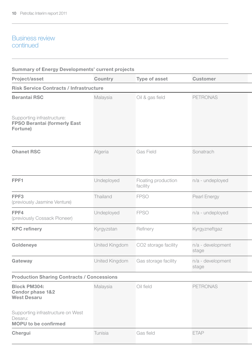# Business review continued

| <b>Summary of Energy Developments' current projects</b>                     |                |                                 |                            |
|-----------------------------------------------------------------------------|----------------|---------------------------------|----------------------------|
| Project/asset                                                               | Country        | Type of asset                   | <b>Customer</b>            |
| <b>Risk Service Contracts / Infrastructure</b>                              |                |                                 |                            |
| <b>Berantai RSC</b>                                                         | Malaysia       | Oil & gas field                 | PETRONAS                   |
| Supporting infrastructure:                                                  |                |                                 |                            |
| FPSO Berantai (formerly East<br>Fortune)                                    |                |                                 |                            |
| <b>Ohanet RSC</b>                                                           | Algeria        | Gas Field                       | Sonatrach                  |
| FPF1                                                                        | Undeployed     | Floating production<br>facility | n/a - undeployed           |
| FPF3<br>(previously Jasmine Venture)                                        | Thailand       | <b>FPSO</b>                     | Pearl Energy               |
| FPF4<br>(previously Cossack Pioneer)                                        | Undeployed     | <b>FPSO</b>                     | n/a - undeployed           |
| <b>KPC</b> refinery                                                         | Kyrgyzstan     | Refinery                        | Kyrgyzneftgaz              |
| Goldeneye                                                                   | United Kingdom | CO2 storage facility            | n/a - development<br>stage |
| Gateway                                                                     | United Kingdom | Gas storage facility            | n/a - development<br>stage |
| <b>Production Sharing Contracts / Concessions</b>                           |                |                                 |                            |
| <b>Block PM304:</b><br>Cendor phase 1&2<br><b>West Desaru</b>               | Malaysia       | Oil field                       | <b>PETRONAS</b>            |
| Supporting infrastructure on West<br>Desaru:<br><b>MOPU</b> to be confirmed |                |                                 |                            |
| Chergui                                                                     | Tunisia        | Gas field                       | <b>ETAP</b>                |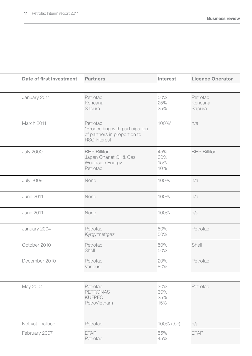| Date of first investment | <b>Partners</b>                                                                                   | Interest                 | Licence Operator              |
|--------------------------|---------------------------------------------------------------------------------------------------|--------------------------|-------------------------------|
|                          |                                                                                                   |                          |                               |
| January 2011             | Petrofac<br>Kencana<br>Sapura                                                                     | 50%<br>25%<br>25%        | Petrofac<br>Kencana<br>Sapura |
| March 2011               | Petrofac<br>*Proceeding with participation<br>of partners in proportion to<br><b>RSC</b> interest | 100%*                    | n/a                           |
| <b>July 2000</b>         | <b>BHP Billiton</b><br>Japan Ohanet Oil & Gas<br>Woodside Energy<br>Petrofac                      | 45%<br>30%<br>15%<br>10% | <b>BHP Billiton</b>           |
| <b>July 2009</b>         | None                                                                                              | 100%                     | n/a                           |
| June 2011                | None                                                                                              | 100%                     | n/a                           |
| <b>June 2011</b>         | None                                                                                              | 100%                     | n/a                           |
| January 2004             | Petrofac<br>Kyrgyzneftgaz                                                                         | 50%<br>50%               | Petrofac                      |
| October 2010             | Petrofac<br>Shell                                                                                 | 50%<br>50%               | Shell                         |
| December 2010            | Petrofac<br>Various                                                                               | 20%<br>80%               | Petrofac                      |
|                          |                                                                                                   |                          |                               |
| May 2004                 | Petrofac<br>PETRONAS<br>KUFPEC<br>PetroVietnam                                                    | 30%<br>30%<br>25%<br>15% | Petrofac                      |
| Not yet finalised        | Petrofac                                                                                          | 100% (tbc)               | n/a                           |
| February 2007            | ETAP<br>Petrofac                                                                                  | 55%<br>45%               | <b>ETAP</b>                   |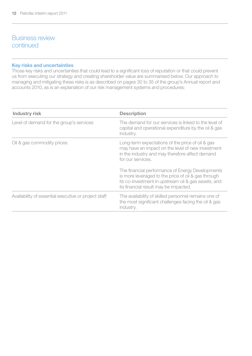# Business review continued

### Key risks and uncertainties

Those key risks and uncertainties that could lead to a significant loss of reputation or that could prevent us from executing our strategy and creating shareholder value are summarised below. Our approach to managing and mitigating these risks is as described on pages 30 to 35 of the group's Annual report and accounts 2010, as is an explanation of our risk management systems and procedures:

| Industry risk                                        | <b>Description</b>                                                                                                                                                                                      |
|------------------------------------------------------|---------------------------------------------------------------------------------------------------------------------------------------------------------------------------------------------------------|
| Level of demand for the group's services             | The demand for our services is linked to the level of<br>capital and operational expenditure by the oil & gas<br>industry.                                                                              |
| Oil & gas commodity prices                           | Long-term expectations of the price of oil & gas<br>may have an impact on the level of new investment<br>in the industry and may therefore affect demand<br>for our services.                           |
|                                                      | The financial performance of Energy Developments<br>is more leveraged to the price of oil & gas through<br>its co-investment in upstream oil & gas assets, and<br>its financial result may be impacted. |
| Availability of essential executive or project staff | The availability of skilled personnel remains one of<br>the most significant challenges facing the oil & gas<br>industry.                                                                               |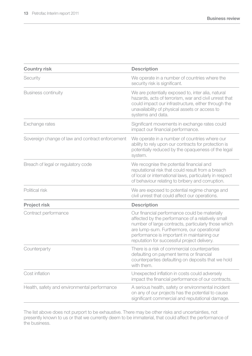| <b>Country risk</b>                              | <b>Description</b>                                                                                                                                                                                                                                                                                    |
|--------------------------------------------------|-------------------------------------------------------------------------------------------------------------------------------------------------------------------------------------------------------------------------------------------------------------------------------------------------------|
| Security                                         | We operate in a number of countries where the<br>security risk is significant.                                                                                                                                                                                                                        |
| <b>Business continuity</b>                       | We are potentially exposed to, inter alia, natural<br>hazards, acts of terrorism, war and civil unrest that<br>could impact our infrastructure, either through the<br>unavailability of physical assets or access to<br>systems and data.                                                             |
| Exchange rates                                   | Significant movements in exchange rates could<br>impact our financial performance.                                                                                                                                                                                                                    |
| Sovereign change of law and contract enforcement | We operate in a number of countries where our<br>ability to rely upon our contracts for protection is<br>potentially reduced by the opaqueness of the legal<br>system.                                                                                                                                |
| Breach of legal or regulatory code               | We recognise the potential financial and<br>reputational risk that could result from a breach<br>of local or international laws, particularly in respect<br>of behaviour relating to bribery and corruption.                                                                                          |
| Political risk                                   | We are exposed to potential regime change and<br>civil unrest that could affect our operations.                                                                                                                                                                                                       |
| Project risk                                     | <b>Description</b>                                                                                                                                                                                                                                                                                    |
| Contract performance                             | Our financial performance could be materially<br>affected by the performance of a relatively small<br>number of large contracts, particularly those which<br>are lump-sum. Furthermore, our operational<br>performance is important in maintaining our<br>reputation for successful project delivery. |
| Counterparty                                     | There is a risk of commercial counterparties<br>defaulting on payment terms or financial<br>counterparties defaulting on deposits that we hold<br>with them.                                                                                                                                          |
| Cost inflation                                   | Unexpected inflation in costs could adversely<br>impact the financial performance of our contracts.                                                                                                                                                                                                   |
| Health, safety and environmental performance     | A serious health, safety or environmental incident<br>on any of our projects has the potential to cause<br>significant commercial and reputational damage.                                                                                                                                            |

The list above does not purport to be exhaustive. There may be other risks and uncertainties, not presently known to us or that we currently deem to be immaterial, that could affect the performance of the business.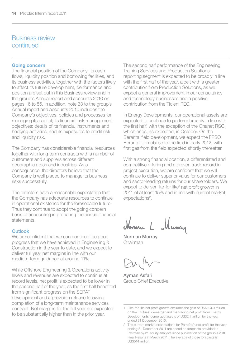# Business review continued

### Going concern

The financial position of the Company, its cash flows, liquidity position and borrowing facilities, and its business activities, together with the factors likely to affect its future development, performance and position are set out in this Business review and in the group's Annual report and accounts 2010 on pages 16 to 55. In addition, note 33 to the group's Annual report and accounts 2010 includes the Company's objectives, policies and processes for managing its capital; its financial risk management objectives; details of its financial instruments and hedging activities; and its exposures to credit risk and liquidity risk.

The Company has considerable financial resources together with long-term contracts with a number of customers and suppliers across different geographic areas and industries. As a consequence, the directors believe that the Company is well placed to manage its business risks successfully.

The directors have a reasonable expectation that the Company has adequate resources to continue in operational existence for the foreseeable future. Thus they continue to adopt the going concern basis of accounting in preparing the annual financial statements.

### Outlook

We are confident that we can continue the good progress that we have achieved in Engineering & Construction in the year to date, and we expect to deliver full year net margins in line with our medium-term guidance at around 11%.

While Offshore Engineering & Operations activity levels and revenues are expected to continue at record levels, net profit is expected to be lower in the second half of the year, as the first half benefited from significant progress on the SEPAT development and a provision release following completion of a long-term maintenance services contract. Net margins for the full year are expected to be substantially higher than in the prior year.

The second half performance of the Engineering, Training Services and Production Solutions reporting segment is expected to be broadly in line with the first half of the year, albeit with a greater contribution from Production Solutions, as we expect a general improvement in our consultancy and technology businesses and a positive contribution from the Ticleni PEC.

In Energy Developments, our operational assets are expected to continue to perform broadly in line with the first half, with the exception of the Ohanet RSC, which ends, as expected, in October. On the Berantai field development, we expect the FPSO Berantai to mobilise to the field in early 2012, with first gas from the field expected shortly thereafter.

With a strong financial position, a differentiated and competitive offering and a proven track record in project execution, we are confident that we will continue to deliver superior value for our customers and sector-leading returns for our shareholders. We expect to deliver like-for-like<sup>1</sup> net profit growth in 2011 of at least 15% and in line with current market expectations<sup>2</sup>.

Muna

Norman Murray Chairman

Ayman Asfari Group Chief Executive

<sup>1</sup> Like-for-like net profit growth excludes the gain of US\$124.9 million on the EnQuest demerger and the trading net profit from Energy Developments' demerged assets of US\$2.1 million for the year ended 31 December 2010.

<sup>2</sup> The current market expectations for Petrofac's net profit for the year ending 31 December 2011 are based on forecasts provided to Petrofac by 21 equity analysts since publication of the group's 2010 Final Results in March 2011. The average of those forecasts is US\$514 million.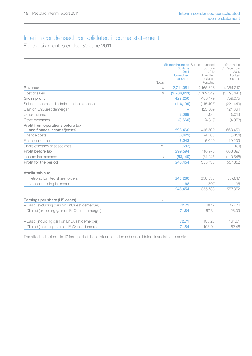# Interim condensed consolidated income statement

For the six months ended 30 June 2011

|                                                                 | Notes | 30 June<br>2011<br><b>Unaudited</b><br><b>US\$'000</b> | <b>Six months ended</b> Six months ended<br>30 June<br>2010<br>Unaudited<br>US\$'000<br>Restated | Year ended<br>31 December<br>2010<br>Audited<br>US\$'000 |
|-----------------------------------------------------------------|-------|--------------------------------------------------------|--------------------------------------------------------------------------------------------------|----------------------------------------------------------|
| Revenue                                                         | 4     | 2,711,081                                              | 2,165,828                                                                                        | 4,354,217                                                |
| Cost of sales                                                   | 5     | (2, 288, 831)                                          | (1,762,349)                                                                                      | (3,595,142)                                              |
| Gross profit                                                    |       | 422.250                                                | 403.479                                                                                          | 759,075                                                  |
| Selling, general and administration expenses                    |       | (118, 199)                                             | (115, 405)                                                                                       | (221, 449)                                               |
| Gain on EnQuest demerger                                        |       |                                                        | 125.569                                                                                          | 124.864                                                  |
| Other income                                                    |       | 3.069                                                  | 7.185                                                                                            | 5,013                                                    |
| Other expenses                                                  |       | (8,660)                                                | (4, 319)                                                                                         | (4,053)                                                  |
| Profit from operations before tax<br>and finance income/(costs) |       | 298,460                                                | 416.509                                                                                          | 663,450                                                  |
| Finance costs                                                   |       | (3, 422)                                               | (4,580)                                                                                          | (5, 131)                                                 |
| Finance income                                                  |       | 5,243                                                  | 5.049                                                                                            | 10,209                                                   |
| Share of losses of associates                                   | 11    | (687)                                                  |                                                                                                  | (131)                                                    |
| Profit before tax                                               |       | 299,594                                                | 416,978                                                                                          | 668,397                                                  |
| Income tax expense                                              | 6     | (53, 140)                                              | (61, 245)                                                                                        | (110, 545)                                               |
| Profit for the period                                           |       | 246,454                                                | 355,733                                                                                          | 557,852                                                  |
| Attributable to:                                                |       |                                                        |                                                                                                  |                                                          |
| Petrofac Limited shareholders                                   |       | 246,286                                                | 356.535                                                                                          | 557,817                                                  |
| Non-controlling interests                                       |       | 168                                                    | (802)                                                                                            | 35                                                       |
|                                                                 |       | 246,454                                                | 355,733                                                                                          | 557,852                                                  |
| Earnings per share (US cents)                                   | 7     |                                                        |                                                                                                  |                                                          |
| - Basic (excluding gain on EnQuest demerger)                    |       | 72.71                                                  | 68.17                                                                                            | 127.76                                                   |
| - Diluted (excluding gain on EnQuest demerger)                  |       | 71.84                                                  | 67.31                                                                                            | 126.09                                                   |
| - Basic (including gain on EnQuest demerger)                    |       | 72.71                                                  | 105.23                                                                                           | 164.61                                                   |
| - Diluted (including gain on EnQuest demerger)                  |       | 71.84                                                  | 103.91                                                                                           | 162.46                                                   |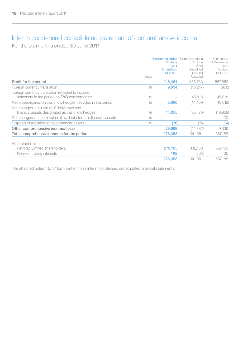# Interim condensed consolidated statement of comprehensive income

For the six months ended 30 June 2011

|                                                                                                 | <b>Notes</b> | 30 June<br>2011<br><b>Unaudited</b><br><b>US\$'000</b> | Six months ended Six months ended<br>30 June<br>2010<br>Unaudited<br>US\$'000<br>Restated | Year ended<br>31 December<br>2010<br>Audited<br>US\$'000 |
|-------------------------------------------------------------------------------------------------|--------------|--------------------------------------------------------|-------------------------------------------------------------------------------------------|----------------------------------------------------------|
| Profit for the period                                                                           |              | 246,454                                                | 355.733                                                                                   | 557,852                                                  |
| Foreign currency translation                                                                    | 15           | 9,934                                                  | (10, 247)                                                                                 | (908)                                                    |
| Foreign currency translation recycled to income<br>statement in the period on EnQuest demerger  | 15           |                                                        | 45,818                                                                                    | 45,818                                                   |
| Net losses/(gains) on cash flow hedges recycled in the period                                   | 15           | 5.980                                                  | (14, 409)                                                                                 | (16, 612)                                                |
| Net changes in fair value of derivatives and<br>financial assets designated as cash flow hedges | 15           | 14,055                                                 | (35, 470)                                                                                 | (18,958)                                                 |
| Net changes in the fair value of available-for-sale financial assets                            | 15           |                                                        |                                                                                           | 70                                                       |
| Disposal of available-for-sale financial assets                                                 | 15           | (70)                                                   | (74)                                                                                      | (74)                                                     |
| Other comprehensive income/(loss)                                                               |              | 29,899                                                 | (14, 382)                                                                                 | 9,336                                                    |
| Total comprehensive income for the period                                                       |              | 276,353                                                | 341.351                                                                                   | 567,188                                                  |
| Attributable to:                                                                                |              |                                                        |                                                                                           |                                                          |
| Petrofac Limited shareholders                                                                   |              | 276.185                                                | 342.153                                                                                   | 567,153                                                  |
| Non-controlling interests                                                                       |              | 168                                                    | (802)                                                                                     | 35                                                       |
|                                                                                                 |              | 276,353                                                | 341.351                                                                                   | 567,188                                                  |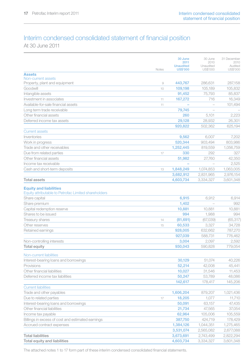# Interim condensed consolidated statement of financial position

At 30 June 2011

|                                                                 |       | 30 June                  | 30 June                  | 31 December      |
|-----------------------------------------------------------------|-------|--------------------------|--------------------------|------------------|
|                                                                 |       | 2011<br><b>Unaudited</b> | 2010<br>Unaudited        | 2010<br>Audited  |
|                                                                 | Notes | <b>US\$'000</b>          | US\$'000                 | US\$'000         |
| <b>Assets</b>                                                   |       |                          |                          |                  |
| Non-current assets<br>Property, plant and equipment             | 9     | 443.767                  | 286,631                  | 287.158          |
| Goodwill                                                        | 10    | 109,198                  | 105,189                  | 105,832          |
|                                                                 |       |                          |                          |                  |
| Intangible assets                                               |       | 91,452                   | 75,793<br>716            | 85,837<br>16,349 |
| Investment in associates<br>Available-for-sale financial assets | 11    | 167,272<br>۰             | $\overline{\phantom{a}}$ |                  |
|                                                                 | 11    | 79,745                   |                          | 101,494          |
| Long term trade receivable                                      |       |                          |                          |                  |
| Other financial assets                                          |       | 260                      | 5.101                    | 2.223            |
| Deferred income tax assets                                      |       | 29,128                   | 28,932                   | 26,301           |
|                                                                 |       | 920.822                  | 502.362                  | 625.194          |
| <b>Current assets</b>                                           |       |                          |                          |                  |
| Inventories                                                     |       | 9,562                    | 6,007                    | 7,202            |
| Work in progress                                                |       | 520,344                  | 903,494                  | 803,986          |
| Trade and other receivables                                     |       | 1,252,445                | 819,559                  | 1,056,759        |
| Due from related parties                                        | 17    | 330                      | 292                      | 327              |
| Other financial assets                                          |       | 51.982                   | 27,760                   | 42.350           |
| Income tax receivable                                           |       |                          |                          | 2,525            |
| Cash and short-term deposits                                    | 13    | 1,848,249                | 1,074,853                | 1.063.005        |
|                                                                 |       | 3,682,912                | 2,831,965                | 2,976,154        |
| <b>Total assets</b>                                             |       | 4,603,734                | 3,334,327                | 3,601,348        |
| <b>Equity and liabilities</b>                                   |       |                          |                          |                  |
| Equity attributable to Petrofac Limited shareholders            |       |                          |                          |                  |
| Share capital                                                   |       | 6,915                    | 6,912                    | 6,914            |
| Share premium                                                   |       | 1,402                    |                          | 992              |
| Capital redemption reserve                                      |       | 10,881                   | 10,881                   | 10.881           |
| Shares to be issued                                             |       | 994                      | 1,988                    | 994              |
| <b>Treasury shares</b>                                          | 14    | (81, 691)                | (67,039)                 | (65, 317)        |
| Other reserves                                                  | 15    | 60,533                   | 3,327                    | 34,728           |
| Retained earnings                                               |       | 928,005                  | 632.662                  | 787,270          |
|                                                                 |       | 927,039                  | 588,731                  | 776,462          |
| Non-controlling interests                                       |       | 3,004                    | 2,097                    | 2,592            |
| <b>Total equity</b>                                             |       | 930.043                  | 590.828                  | 779.054          |
|                                                                 |       |                          |                          |                  |
| Non-current liabilities                                         |       |                          |                          |                  |
| Interest-bearing loans and borrowings                           |       | 30,129                   | 51,074                   | 40,226           |
| Provisions                                                      |       | 52,214                   | 42,008                   | 45.441           |
| Other financial liabilities                                     |       | 10,027                   | 31,546                   | 11,453           |
| Deferred income tax liabilities                                 |       | 50,247                   | 53,789                   | 48.086           |
|                                                                 |       | 142,617                  | 178,417                  | 145,206          |
| <b>Current liabilities</b>                                      |       |                          |                          |                  |
| Trade and other payables                                        |       | 1,606,204                | 879,207                  | 1,021,436        |
| Due to related parties                                          | 17    | 18,205                   | 1,077                    | 11,710           |
| Interest-bearing loans and borrowings                           |       | 50,091                   | 63,157                   | 47,435           |
| Other financial liabilities                                     |       | 21,734                   | 47,565                   | 37,054           |
| Income tax payable                                              |       | 62,964                   | 105,006                  | 105,559          |
| Billings in excess of cost and estimated earnings               |       | 387,750                  | 424,719                  | 178,429          |
| Accrued contract expenses                                       |       | 1,384,126                | 1,044,351                | 1,275,465        |
|                                                                 |       | 3,531,074                | 2,565,082                | 2,677,088        |
| <b>Total liabilities</b>                                        |       | 3,673,691                | 2,743,499                | 2,822,294        |
| Total equity and liabilities                                    |       | 4,603,734                | 3,334,327                | 3,601,348        |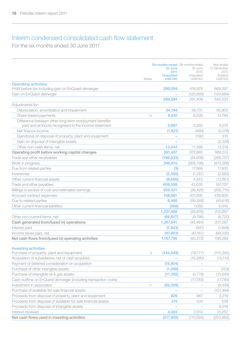# Interim condensed consolidated cash flow statement

For the six months ended 30 June 2011

|                                                                                                               |       | 30 June<br>2011<br><b>Unaudited</b> | Six months ended Six months ended<br>30 June<br>2010<br>Unaudited | Year ended<br>31 December<br>2010<br>Audited |
|---------------------------------------------------------------------------------------------------------------|-------|-------------------------------------|-------------------------------------------------------------------|----------------------------------------------|
| <b>Operating activities</b>                                                                                   | Notes | <b>US\$'000</b>                     | US\$'000                                                          | US\$'000                                     |
| Profit before tax including gain on EnQuest demerger                                                          |       | 299,594                             | 416,978                                                           | 668,397                                      |
| Gain on EnQuest demerger                                                                                      |       |                                     | (125, 569)                                                        | (124, 864)                                   |
|                                                                                                               |       | 299,594                             | 291,409                                                           | 543,533                                      |
| Adjustments for:                                                                                              |       |                                     |                                                                   |                                              |
| Depreciation, amortisation and impairment                                                                     |       | 34.194                              | 58.731                                                            | 95,903                                       |
| Share-based payments                                                                                          | 14    | 9,910                               | 6,538                                                             | 14,784                                       |
| Difference between other long-term employment benefits<br>paid and amounts recognised in the income statement |       | 5,987                               | 5,282                                                             | 6,074                                        |
| Net finance income                                                                                            |       | (1, 821)                            | (469)                                                             | (5,078)                                      |
| Gain/(loss) on disposal of property, plant and equipment                                                      |       |                                     | (192)                                                             | 315                                          |
| Gain on disposal of intangible assets                                                                         |       |                                     | $\overline{a}$                                                    | (2,338)                                      |
| Other non-cash items, net                                                                                     |       | 13,543                              | 11,586                                                            | 13,319                                       |
| Operating profit before working capital changes                                                               |       | 361,407                             | 372.885                                                           | 666.512                                      |
| Trade and other receivables                                                                                   |       | (196, 033)                          | (24, 936)                                                         | (266, 757)                                   |
| Work in progress                                                                                              |       | 246,810                             | (569, 796)                                                        | (470, 288)                                   |
| Due from related parties                                                                                      |       | (3)                                 | 17,968                                                            | 17,933                                       |
| Inventories                                                                                                   |       | (2, 360)                            | (1,787)                                                           | (2,982)                                      |
| Other current financial assets                                                                                |       | (6,060)                             | 4,843                                                             | (12,661)                                     |
| Trade and other payables                                                                                      |       | 609,598                             | 43,035                                                            | 167,707                                      |
| Billings in excess of cost and estimated earnings                                                             |       | 209,321                             | (36, 425)                                                         | (282, 715)                                   |
| Accrued contract expenses                                                                                     |       | 108,661                             | 207,695                                                           | 438,809                                      |
| Due to related parties                                                                                        |       | 6,495                               | (56, 249)                                                         | (45, 616)                                    |
| Other current financial liabilities                                                                           |       | (368)                               | 7.089                                                             | 6.045                                        |
|                                                                                                               |       | 1,337,468                           | (35, 678)                                                         | 215,987                                      |
| Other non-current items, net                                                                                  |       | (69, 827)                           | (9,786)                                                           | (8,720)                                      |
| Cash generated from/(used in) operations                                                                      |       | 1,267,641                           | (45, 464)                                                         | 207,267                                      |
| Interest paid                                                                                                 |       | (1, 943)                            | (941)                                                             | (1,948)                                      |
| Income taxes paid, net                                                                                        |       | (97,903)                            | (47, 167)                                                         | (99,030)                                     |
| Net cash flows from/(used in) operating activities                                                            |       | 1,167,795                           | (93, 572)                                                         | 106,289                                      |
| <b>Investing activities</b><br>Purchase of property, plant and equipment                                      | 9     | (144, 849)                          | (78, 177)                                                         | (115, 345)                                   |
| Acquisition of subsidiaries, net of cash acquired                                                             |       |                                     | (15, 290)                                                         | (15, 110)                                    |
| Payment of deferred consideration on acquisition                                                              |       | (15, 804)                           |                                                                   |                                              |
| Purchase of other intangible assets                                                                           |       | (1,088)                             |                                                                   | (153)                                        |
| Purchase of intangible oil & gas assets                                                                       |       | (11, 492)                           | (4,778)                                                           | (15, 644)                                    |
| Cash outflow on EnQuest demerger (including transaction costs)                                                |       |                                     | (17,783)                                                          | (17,783)                                     |
| Investment in associates                                                                                      | 11    | (50, 359)                           | $\overline{\phantom{0}}$                                          | (8,459)                                      |
| Purchase of available-for-sale financial assets                                                               |       | $\overline{\phantom{a}}$            | $\overline{\phantom{a}}$                                          | (101, 494)                                   |
| Proceeds from disposal of property, plant and equipment                                                       |       | 829                                 | 987                                                               | 3.219                                        |
| Proceeds from disposal of available-for-sale financial assets                                                 |       | 374                                 | 534                                                               | 539                                          |
| Proceeds from disposal of intangible assets                                                                   |       |                                     |                                                                   | 6,018                                        |
| Interest received                                                                                             |       | 4,484                               | 3,914                                                             | 10,257                                       |
| Net cash flows used in investing activities                                                                   |       | (217, 905)                          | (110, 593)                                                        | (253, 955)                                   |
|                                                                                                               |       |                                     |                                                                   |                                              |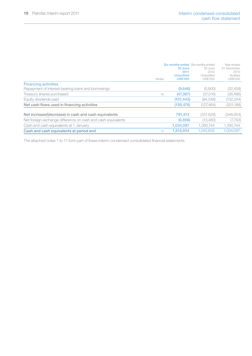|                                                              | <b>Notes</b> | 30 June<br>2011<br>Unaudited<br><b>US\$'000</b> | Six months ended Six months ended<br>30 June<br>2010<br>Unaudited<br>US\$'000 | Year ended<br>31 December<br>2010<br>Audited<br>US\$'000 |
|--------------------------------------------------------------|--------------|-------------------------------------------------|-------------------------------------------------------------------------------|----------------------------------------------------------|
| <b>Financing activities</b>                                  |              |                                                 |                                                                               |                                                          |
| Repayment of interest-bearing loans and borrowings           |              | (9,646)                                         | (5,900)                                                                       | (32, 458)                                                |
| Treasury shares purchased                                    | 14           | (47, 387)                                       | (37,016)                                                                      | (36, 486)                                                |
| Equity dividends paid                                        |              | (101.443)                                       | (84, 548)                                                                     | (132, 244)                                               |
| Net cash flows used in financing activities                  |              | (158.476)                                       | (127, 464)                                                                    | (201, 188)                                               |
| Net increase/(decrease) in cash and cash equivalents         |              | 791,413                                         | (331, 629)                                                                    | (348, 854)                                               |
| Net foreign exchange difference on cash and cash equivalents |              | (6, 856)                                        | (13,480)                                                                      | (7,793)                                                  |
| Cash and cash equivalents at 1 January                       |              | 1.034.097                                       | 1.390.744                                                                     | 1.390.744                                                |
| Cash and cash equivalents at period end                      | 13           | 1.818.654                                       | 1.045.635                                                                     | 1.034.097                                                |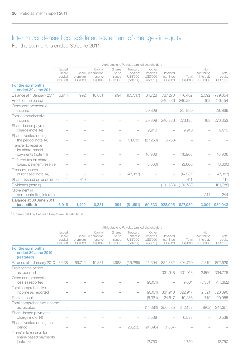# Interim condensed consolidated statement of changes in equity

For the six months ended 30 June 2011

|                                                              | Attributable to Petrofac Limited shareholders |                     |                                                    |                                       |                                              |                                            |                                  |                   |                                              |                             |
|--------------------------------------------------------------|-----------------------------------------------|---------------------|----------------------------------------------------|---------------------------------------|----------------------------------------------|--------------------------------------------|----------------------------------|-------------------|----------------------------------------------|-----------------------------|
|                                                              | Issued<br>share<br>capital<br>US\$'000        | premium<br>US\$'000 | Capital<br>Share redemption<br>reserve<br>US\$'000 | Shares<br>to be<br>issued<br>US\$'000 | Treasury<br>shares*<br>US\$'000<br>(note 14) | Other<br>reserves<br>US\$'000<br>(note 15) | Retained<br>earnings<br>US\$'000 | Total<br>US\$'000 | Non-<br>controlling<br>interests<br>US\$'000 | Total<br>equity<br>US\$'000 |
| For the six months<br>ended 30 June 2011                     |                                               |                     |                                                    |                                       |                                              |                                            |                                  |                   |                                              |                             |
| Balance at 1 January 2011                                    | 6,914                                         | 992                 | 10,881                                             | 994                                   | (65, 317)                                    | 34,728                                     | 787,270                          | 776,462           | 2,592                                        | 779,054                     |
| Profit for the period                                        |                                               |                     |                                                    |                                       |                                              |                                            | 246,286                          | 246.286           | 168                                          | 246,454                     |
| Other comprehensive<br>income                                |                                               |                     |                                                    |                                       |                                              | 29.899                                     |                                  | 29.899            |                                              | 29.899                      |
| Total comprehensive<br>income                                |                                               |                     |                                                    |                                       |                                              | 29.899                                     | 246.286                          | 276.185           | 168                                          | 276.353                     |
| Share-based payments<br>charge (note 14)                     |                                               |                     |                                                    |                                       |                                              | 9,910                                      |                                  | 9,910             |                                              | 9,910                       |
| Shares vested during<br>the period (note 14)                 |                                               |                     |                                                    |                                       | 31.013                                       | (27, 250)                                  | (3.763)                          |                   |                                              |                             |
| Transfer to reserve<br>for share-based<br>payments (note 14) |                                               |                     |                                                    |                                       |                                              | 16.906                                     |                                  | 16.906            |                                              | 16,906                      |
| Deferred tax on share-<br>based payment reserve              |                                               |                     |                                                    |                                       |                                              | (3,660)                                    |                                  | (3,660)           |                                              | (3,660)                     |
| Treasury shares<br>purchased (note 14)                       |                                               |                     |                                                    |                                       | (47, 387)                                    |                                            |                                  | (47, 387)         |                                              | (47, 387)                   |
| Shares issued on acquisition                                 | 1.                                            | 410                 |                                                    |                                       |                                              |                                            |                                  | 411               | $\overline{\phantom{a}}$                     | 411                         |
| Dividends (note 8)                                           |                                               |                     |                                                    |                                       |                                              | $\overline{\phantom{0}}$                   | (101, 788)                       | (101, 788)        |                                              | (101, 788)                  |
| Movement in<br>non-controlling interests                     |                                               |                     |                                                    |                                       |                                              |                                            |                                  |                   | 244                                          | 244                         |
| Balance at 30 June 2011<br>(unaudited)                       | 6.915                                         | 1,402               | 10.881                                             | 994                                   | (81, 691)                                    | 60.533                                     | 928,005                          | 927.039           | 3.004                                        | 930.043                     |

\* Shares held by Petrofac Employee Benefit Trust.

|                                                              |                                        |                              |                                              | Attributable to Petrofac Limited shareholders |                                              |                                            |                                  |                   |                                                     |                             |
|--------------------------------------------------------------|----------------------------------------|------------------------------|----------------------------------------------|-----------------------------------------------|----------------------------------------------|--------------------------------------------|----------------------------------|-------------------|-----------------------------------------------------|-----------------------------|
|                                                              | Issued<br>share<br>capital<br>US\$'000 | Share<br>premium<br>US\$'000 | Capital<br>redemption<br>reserve<br>US\$'000 | Shares<br>to be<br>issued<br>US\$'000         | Treasury<br>shares*<br>US\$'000<br>(note 14) | Other<br>reserves<br>US\$'000<br>(note 15) | Retained<br>earnings<br>US\$'000 | Total<br>US\$'000 | Non-<br>controlling<br><i>interests</i><br>US\$'000 | Total<br>equity<br>US\$'000 |
| For the six months<br>ended 30 June 2010<br>(restated)       |                                        |                              |                                              |                                               |                                              |                                            |                                  |                   |                                                     |                             |
| Balance at 1 January 2010                                    | 8.638                                  | 69.712                       | 10.881                                       | 1,988                                         | (56, 285)                                    | 25.394                                     | 834.382                          | 894,710           | 2,819                                               | 897,529                     |
| Profit for the period<br>as reported                         |                                        |                              |                                              |                                               |                                              |                                            | 331,918                          | 331,918           | 2,860                                               | 334,778                     |
| Other comprehensive<br>loss as reported                      |                                        |                              |                                              |                                               |                                              | (9,001)                                    |                                  | (9,001)           | (5, 381)                                            | (14, 382)                   |
| Total comprehensive<br>income as reported                    |                                        |                              |                                              |                                               |                                              | (9,001)                                    | 331,918                          | 322,917           | (2,521)                                             | 320,396                     |
| Restatement                                                  |                                        |                              |                                              |                                               |                                              | (5, 381)                                   | 24,617                           | 19,236            | 1,719                                               | 20,955                      |
| Total comprehensive income<br>as restated                    |                                        |                              |                                              |                                               |                                              | (14, 382)                                  | 356.535                          | 342,153           | (802)                                               | 341,351                     |
| Share-based payments<br>charge (note 14)                     |                                        |                              |                                              |                                               |                                              | 6,538                                      |                                  | 6,538             |                                                     | 6,538                       |
| Shares vested during the<br>period                           |                                        |                              |                                              |                                               | 26,262                                       | (24, 895)                                  | (1, 367)                         |                   |                                                     |                             |
| Transfer to reserve for<br>share-based payments<br>(note 14) |                                        |                              |                                              |                                               |                                              | 12,750                                     |                                  | 12,750            |                                                     | 12,750                      |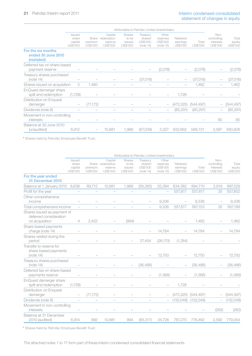|                                                        |                                        |                     |                                                    | Attributable to Petrofac Limited shareholders |                                              |                                            |                                  |                   |                                              |                             |
|--------------------------------------------------------|----------------------------------------|---------------------|----------------------------------------------------|-----------------------------------------------|----------------------------------------------|--------------------------------------------|----------------------------------|-------------------|----------------------------------------------|-----------------------------|
|                                                        | Issued<br>share<br>capital<br>US\$'000 | premium<br>US\$'000 | Capital<br>Share redemption<br>reserve<br>US\$'000 | Shares<br>to be<br>issued<br>US\$'000         | Treasury<br>shares*<br>US\$'000<br>(note 14) | Other<br>reserves<br>US\$'000<br>(note 15) | Retained<br>earnings<br>US\$'000 | Total<br>US\$'000 | Non-<br>controlling<br>interests<br>US\$'000 | Total<br>equity<br>US\$'000 |
| For the six months<br>ended 30 June 2010<br>(restated) |                                        |                     |                                                    |                                               |                                              |                                            |                                  |                   |                                              |                             |
| Deferred tax on share-based<br>payment reserve         |                                        |                     |                                                    |                                               |                                              | (2,078)                                    |                                  | (2,078)           |                                              | (2,078)                     |
| Treasury shares purchased<br>(note 14)                 |                                        |                     |                                                    |                                               | (37,016)                                     |                                            |                                  | (37,016)          |                                              | (37,016)                    |
| Shares issued on acquisition                           | $\mathbf{2}$                           | 1.460               |                                                    |                                               |                                              |                                            |                                  | 1,462             |                                              | 1,462                       |
| EnQuest demerger share<br>split and redemption         | (1,728)                                |                     |                                                    |                                               |                                              |                                            | 1,728                            |                   |                                              |                             |
| Distribution on Enquest<br>demerger                    |                                        | (71, 172)           |                                                    |                                               |                                              | $\overline{\phantom{0}}$                   | (473,325)                        | (544, 497)        |                                              | (544,497)                   |
| Dividends (note 8)                                     |                                        |                     |                                                    |                                               |                                              |                                            | (85, 291)                        | (85, 291)         |                                              | (85, 291)                   |
| Movement in non-controlling<br>interests               |                                        |                     |                                                    |                                               |                                              |                                            |                                  |                   | 80                                           | 80                          |
| Balance at 30 June 2010<br>(unaudited)                 | 6.912                                  |                     | 10.881                                             | 1,988                                         | (67,039)                                     | 3,327                                      | 632,662                          | 588.731           | 2,097                                        | 590,828                     |

\* Shares held by Petrofac Employee Benefit Trust.

| <b>Issued</b><br>share<br>capital<br><b>US\$'000</b> | premium<br>US\$'000                                                                                                                                                                                       | Capital<br>reserve<br>US\$'000 | Shares<br>to be<br>issued<br>US\$'000 | Treasury<br>shares*<br>US\$'000<br>(note 14) | Other<br>reserves<br>US\$'000<br>(note 15) | Retained<br>earnings<br>US\$'000 | Total<br>US\$'000                             | Non-<br>controlling<br>interests<br>US\$'000 | Total<br>equity<br>US\$'000 |
|------------------------------------------------------|-----------------------------------------------------------------------------------------------------------------------------------------------------------------------------------------------------------|--------------------------------|---------------------------------------|----------------------------------------------|--------------------------------------------|----------------------------------|-----------------------------------------------|----------------------------------------------|-----------------------------|
|                                                      |                                                                                                                                                                                                           |                                |                                       |                                              |                                            |                                  |                                               |                                              |                             |
| 8.638                                                | 69.712                                                                                                                                                                                                    | 10.881                         | 1.988                                 | (56.285)                                     | 25.394                                     | 834,382                          | 894,710                                       | 2.819                                        | 897,529                     |
|                                                      |                                                                                                                                                                                                           |                                |                                       |                                              |                                            | 557,817                          | 557,817                                       | 35                                           | 557,852                     |
|                                                      |                                                                                                                                                                                                           |                                |                                       |                                              | 9.336                                      |                                  | 9.336                                         |                                              | 9.336                       |
|                                                      |                                                                                                                                                                                                           |                                |                                       |                                              | 9.336                                      | 557.817                          | 567,153                                       | 35                                           | 567,188                     |
| 4                                                    | 2,452                                                                                                                                                                                                     |                                | (994)                                 |                                              |                                            |                                  | 1,462                                         |                                              | 1,462                       |
|                                                      |                                                                                                                                                                                                           |                                |                                       |                                              | 14.784                                     |                                  | 14.784                                        |                                              | 14,784                      |
|                                                      |                                                                                                                                                                                                           |                                |                                       | 27.454                                       | (26.170)                                   | (1.284)                          |                                               |                                              |                             |
|                                                      |                                                                                                                                                                                                           |                                |                                       |                                              | 12.750                                     |                                  | 12.750                                        |                                              | 12.750                      |
|                                                      |                                                                                                                                                                                                           |                                |                                       | (36.486)                                     |                                            |                                  | (36.486)                                      |                                              | (36.486)                    |
|                                                      |                                                                                                                                                                                                           |                                |                                       |                                              | (1, 366)                                   |                                  | (1, 366)                                      |                                              | (1, 366)                    |
| (1,728)                                              |                                                                                                                                                                                                           |                                |                                       |                                              |                                            | 1,728                            |                                               |                                              |                             |
|                                                      |                                                                                                                                                                                                           |                                |                                       |                                              |                                            | (473.325)                        | (544, 497)                                    |                                              | (544, 497)                  |
|                                                      |                                                                                                                                                                                                           |                                |                                       |                                              |                                            | (132.048)                        | (132.048)                                     |                                              | (132, 048)                  |
|                                                      |                                                                                                                                                                                                           |                                |                                       |                                              |                                            |                                  |                                               | (262)                                        | (262)                       |
| 6.914                                                | 992                                                                                                                                                                                                       | 10.881                         | 994                                   | (65, 317)                                    | 34,728                                     | 787,270                          | 776,462                                       | 2,592                                        | 779,054                     |
|                                                      | Balance at 1 January 2010<br>Total comprehensive income<br>Shares issued as payment of<br>share-based payments<br>Treasury shares purchased<br>Deferred tax on share-based<br>Movement in non-controlling |                                | Share redemption<br>(71.172)          |                                              |                                            |                                  | Attributable to Petrofac Limited shareholders |                                              |                             |

\* Shares held by Petrofac Employee Benefit Trust.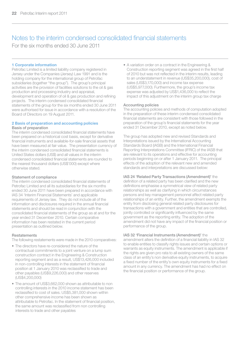# Notes to the interim condensed consolidated financial statements

For the six months ended 30 June 2011

#### 1 Corporate information

Petrofac Limited is a limited liability company registered in Jersey under the Companies (Jersey) Law 1991 and is the holding company for the international group of Petrofac subsidiaries (together "the group"). The group's principal activities are the provision of facilities solutions to the oil & gas production and processing industry and appraisal, development and operation of oil & gas production and refining projects. The interim condensed consolidated financial statements of the group for the six months ended 30 June 2011 were authorised for issue in accordance with a resolution of the Board of Directors on 19 August 2011.

#### 2 Basis of preparation and accounting policies Basis of preparation

The interim condensed consolidated financial statements have been prepared on a historical cost basis, except for derivative financial instruments and available-for-sale financial assets that have been measured at fair value. The presentation currency of the interim condensed consolidated financial statements is United States dollars (US\$) and all values in the interim condensed consolidated financial statements are rounded to the nearest thousand dollars (US\$'000) except where otherwise stated.

### Statement of compliance

The interim condensed consolidated financial statements of Petrofac Limited and all its subsidiaries for the six months ended 30 June 2011 have been prepared in accordance with IAS 34 'Interim Financial Statements' and applicable requirements of Jersey law. They do not include all of the information and disclosures required in the annual financial statements and should be read in conjunction with the consolidated financial statements of the group as at and for the year ended 31 December 2010. Certain comparative information has been restated in the current period presentation as outlined below.

#### Restatements

The following restatements were made in the 2010 comparatives:

- The directors have re-considered the nature of the contractual commitments to a joint venture on a lump sum construction contract in the Engineering & Construction reporting segment and as a result, US\$13,426,000 included in non-controlling interests in the statement of financial position at 1 January 2010 was reclassified to trade and other payables (US\$9,226,000) and other reserves (US\$4,200,000)
- The amount of US\$3,662,000 shown as attributable to non controlling interests in the 2010 income statement has been reclassified to cost of sales. US\$5,381,000 shown within other comprehensive income has been shown as attributable to Petrofac. In the statement of financial position, the same amount was reclassified from non controlling interests to trade and other payables

• A variation order on a contract in the Engineering & Construction reporting segment was agreed in the first half of 2010 but was not reflected in the interim results, leading to an understatement in revenue (US\$35,200,000), cost of sales (US\$3,170,000) and income tax expense (US\$5,977,000). Furthermore, the group's income tax expense was adjusted by US\$1,436,000 to reflect the impact of this adjustment on the interim group tax charge

interests to trade and other payables

#### Accounting policies

The accounting policies and methods of computation adopted in the preparation of these interim condensed consolidated financial statements are consistent with those followed in the preparation of the group's financial statements for the year ended 31 December 2010, except as noted below.

The group has adopted new and revised Standards and Interpretations issued by the International Accounting Standards Board (IASB) and the International Financial Reporting Interpretations Committee (IFRIC) of the IASB that are relevant to its operations and effective for accounting periods beginning on or after 1 January 2011. The principal effects of the adoption of the relevant new and amended standards and interpretations are discussed below:

### IAS 24 'Related Party Transactions (Amendment)' the

definition of a related party has been clarified and the new definitions emphasise a symmetrical view of related party relationships as well as clarifying in which circumstances persons and key management personnel affect related party relationships of an entity. Further, the amendment exempts the entity from disclosing general related party disclosures for transactions with a government and entities that are controlled, jointly controlled or significantly influenced by the same government as the reporting entity. The adoption of the amendment did not have any impact of the financial position or performance of the group.

#### IAS 32 'Financial Instruments (Amendment)' the

amendment alters the definition of a financial liability in IAS 32 to enable entities to classify rights issues and certain options or warrants as equity instruments. The amendment is applicable if the rights are given pro rata to all existing owners of the same class of an entity's non derivative equity instruments, to acquire a fixed number of the entity's own equity instruments for a fixed amount in any currency. The amendment has had no effect on the financial position or performance of the group.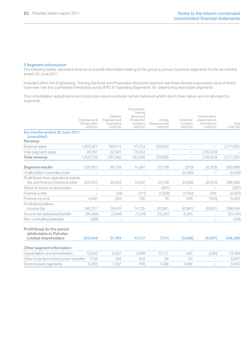#### 3 Segment information

The following tables represent revenue and profit information relating to the group's primary business segments for the six months ended 30 June 2011.

Included within the Engineering, Training Services and Production Solutions segment are three diverse businesses none of which have ever met the quantitative thresholds set by IFRS 8 'Operating Segments' for determining reportable segments.

The consolidation adjustments and corporate columns include certain balances which due to their nature are not allocated to segments.

|                                                                        |                                           |                                                     | Engineering,                                                  |                                    |                                   |                                                            |                   |
|------------------------------------------------------------------------|-------------------------------------------|-----------------------------------------------------|---------------------------------------------------------------|------------------------------------|-----------------------------------|------------------------------------------------------------|-------------------|
|                                                                        | Engineering &<br>Construction<br>US\$'000 | Offshore<br>Engineering &<br>Operations<br>US\$'000 | Training<br>Services &<br>Production<br>Solutions<br>US\$'000 | Energy<br>Developments<br>US\$'000 | Corporate<br>& others<br>US\$'000 | Consolidation<br>adjustments &<br>eliminations<br>US\$'000 | Total<br>US\$'000 |
| Six months ended 30 June 2011<br>(unaudited)<br>Revenue                |                                           |                                                     |                                                               |                                    |                                   |                                                            |                   |
| <b>External sales</b>                                                  | 1.875.561                                 | 558.111                                             | 117.724                                                       | 159,685                            |                                   |                                                            | 2,711,081         |
| Inter-segment sales                                                    | 28.167                                    | 22.931                                              | 75.812                                                        |                                    | $\overline{\phantom{0}}$          | (126.910)                                                  |                   |
| Total revenue                                                          | 1,903,728                                 | 581,042                                             | 193,536                                                       | 159,685                            |                                   | (126, 910)                                                 | 2,711,081         |
| Segment results                                                        | 235,810                                   | 39,234                                              | 14,247                                                        | 23,158                             | (210)                             | (8,353)                                                    | 303,886           |
| Unallocated corporate costs                                            |                                           | -                                                   |                                                               |                                    | (5,426)                           |                                                            | (5,426)           |
| Profit/(loss) from operations before<br>tax and finance income/(costs) | 235.810                                   | 39.234                                              | 14.247                                                        | 23.158                             | (5.636)                           | (8, 353)                                                   | 298,460           |
| Share of losses of associates                                          | -                                         | $\overline{\phantom{0}}$                            |                                                               | (687)                              |                                   |                                                            | (687)             |
| Finance costs                                                          |                                           | (28)                                                | (311)                                                         | (1.526)                            | (1.763)                           | 206                                                        | (3,422)           |
| Finance income                                                         | 4.891                                     | 209                                                 | 199                                                           | 16                                 | 438                               | (510)                                                      | 5,243             |
| Profit/(loss) before<br>income tax                                     | 240.701                                   | 39.415                                              | 14,135                                                        | 20.961                             | (6,961)                           | (8.657)                                                    | 299,594           |
| Income tax (expense)/benefit                                           | (34, 584)                                 | (7,646)                                             | (1,018)                                                       | (13, 247)                          | 3,355                             |                                                            | (53, 140)         |
| Non-controlling interests                                              | (168)                                     |                                                     |                                                               |                                    |                                   |                                                            | (168)             |
| Profit/(loss) for the period<br>attributable to Petrofac               |                                           |                                                     |                                                               |                                    |                                   |                                                            |                   |
| Limited shareholders                                                   | 205.949                                   | 31.769                                              | 13,117                                                        | 7.714                              | (3,606)                           | (8,657)                                                    | 246,286           |
| Other segment information                                              |                                           |                                                     |                                                               |                                    |                                   |                                                            |                   |
| Depreciation and amortisation                                          | 12.642                                    | 2.027                                               | 3.899                                                         | 15.711                             | 245                               | (330)                                                      | 34,194            |
| Other long-term employment benefits                                    | 7.728                                     | 169                                                 | 304                                                           | 36                                 | 50                                |                                                            | 8.287             |
| Share-based payments                                                   | 5.356                                     | 1.037                                               | 765                                                           | 1.086                              | 1.666                             | $\overline{\phantom{a}}$                                   | 9,910             |
|                                                                        |                                           |                                                     |                                                               |                                    |                                   |                                                            |                   |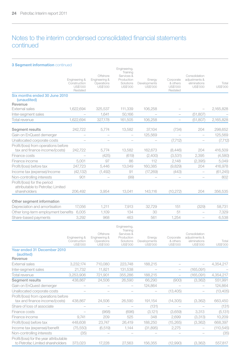# Notes to the interim condensed consolidated financial statements continued

### 3 Segment information continued

|                                                                                  | Engineering &<br>Construction<br>US\$'000<br>Restated | Offshore<br>Engineering &<br>Operations<br>US\$'000 | Engineering,<br>Training<br>Services &<br>Production<br>Solutions<br>US\$'000 | Energy<br>Developments<br>US\$'000 | Corporate<br>& others<br>US\$'000<br>Restated | Consolidation<br>adjustments &<br>eliminations<br>US\$'000 | Total<br>US\$'000 |
|----------------------------------------------------------------------------------|-------------------------------------------------------|-----------------------------------------------------|-------------------------------------------------------------------------------|------------------------------------|-----------------------------------------------|------------------------------------------------------------|-------------------|
| Six months ended 30 June 2010<br>(unaudited)<br>Revenue                          |                                                       |                                                     |                                                                               |                                    |                                               |                                                            |                   |
| External sales                                                                   | 1.622.694                                             | 325.537                                             | 111,339                                                                       | 106,258                            |                                               |                                                            | 2,165,828         |
| Inter-segment sales                                                              |                                                       | 1.641                                               | 50,166                                                                        |                                    | $\overline{\phantom{m}}$                      | (51, 807)                                                  |                   |
| Total revenue                                                                    | 1.622.694                                             | 327.178                                             | 161.505                                                                       | 106.258                            |                                               | (51.807)                                                   | 2,165,828         |
| Segment results                                                                  | 242,722                                               | 5,774                                               | 13,582                                                                        | 37,104                             | (734)                                         | 204                                                        | 298,652           |
| Gain on EnQuest demerger                                                         | $\overline{\phantom{0}}$                              | $\overline{\phantom{0}}$                            | $\overline{\phantom{0}}$                                                      | 125,569                            |                                               |                                                            | 125,569           |
| Unallocated corporate costs                                                      |                                                       |                                                     |                                                                               |                                    | (7,712)                                       |                                                            | (7, 712)          |
| Profit/(loss) from operations before<br>tax and finance income/(costs)           | 242.722                                               | 5.774                                               | 13,582                                                                        | 162.673                            | (8,446)                                       | 204                                                        | 416,509           |
| Finance costs                                                                    |                                                       | (425)                                               | (619)                                                                         | (2,400)                            | (3,531)                                       | 2.395                                                      | (4,580)           |
| Finance income                                                                   | 5.001                                                 | 97                                                  | 86                                                                            | 112                                | 2.148                                         | (2, 395)                                                   | 5,049             |
| Profit/(loss) before tax                                                         | 247.723                                               | 5.446                                               | 13.049                                                                        | 160.385                            | (9.829)                                       | 204                                                        | 416.978           |
| Income tax (expense)/income                                                      | (42.132)                                              | (1.492)                                             | 91                                                                            | (17.269)                           | (443)                                         |                                                            | (61.245)          |
| Non-controlling interests                                                        | 901                                                   |                                                     | (99)                                                                          |                                    |                                               |                                                            | 802               |
| Profit/(loss) for the period<br>attributable to Petrofac Limited<br>shareholders | 206,492                                               | 3.954                                               | 13.041                                                                        | 143.116                            | (10, 272)                                     | 204                                                        | 356,535           |
| Other segment information                                                        |                                                       |                                                     |                                                                               |                                    |                                               |                                                            |                   |
| Depreciation and amortisation                                                    | 17,056                                                | 1,211                                               | 7,913                                                                         | 32.729                             | 151                                           | (329)                                                      | 58,731            |
| Other long-term employment benefits                                              | 6.005                                                 | 1.109                                               | 134                                                                           | 30                                 | 51                                            | $\overline{\phantom{0}}$                                   | 7,329             |
| Share-based payments                                                             | 3,292                                                 | 968                                                 | 463                                                                           | 561                                | 1.254                                         |                                                            | 6,538             |
|                                                                                  | Engingering &                                         | Offshore<br>Engineering &                           | Engineering,<br>Training<br>Services &<br>Production                          | Fnorm/                             |                                               | Consolidation<br>Comorate adjustments &                    |                   |

|                                                                             | Engineering &<br>Construction<br>US\$'000 | Offshore<br>Engineering &<br>Operations<br>US\$'000 | Services &<br>Production<br>Solutions<br>US\$'000 | Energy<br>Developments<br>US\$'000 | Corporate<br>& others<br>US\$'000 | Consolidation<br>adjustments &<br>eliminations<br>US\$'000 | Total<br>US\$'000 |
|-----------------------------------------------------------------------------|-------------------------------------------|-----------------------------------------------------|---------------------------------------------------|------------------------------------|-----------------------------------|------------------------------------------------------------|-------------------|
| Year ended 31 December 2010<br>(audited)                                    |                                           |                                                     |                                                   |                                    |                                   |                                                            |                   |
| Revenue                                                                     |                                           |                                                     |                                                   |                                    |                                   |                                                            |                   |
| External sales                                                              | 3,232,174                                 | 710,080                                             | 223,748                                           | 188,215                            |                                   |                                                            | 4,354,217         |
| Inter-segment sales                                                         | 21,732                                    | 11,821                                              | 131,538                                           |                                    |                                   | (165, 091)                                                 |                   |
| Total revenue                                                               | 3,253,906                                 | 721,901                                             | 355,286                                           | 188,215                            |                                   | (165, 091)                                                 | 4,354,217         |
| Segment results                                                             | 438,867                                   | 24,506                                              | 26,590                                            | 66,290                             | (900)                             | (3,362)                                                    | 551,991           |
| Gain on EnQuest demerger                                                    |                                           |                                                     |                                                   | 124,864                            |                                   |                                                            | 124,864           |
| Unallocated corporate costs                                                 |                                           |                                                     |                                                   |                                    | (13, 405)                         |                                                            | (13, 405)         |
| Profit/(loss) from operations before                                        |                                           |                                                     |                                                   |                                    |                                   |                                                            |                   |
| tax and finance income/(costs)                                              | 438.867                                   | 24,506                                              | 26.590                                            | 191,154                            | (14, 305)                         | (3,362)                                                    | 663,450           |
| Share of loss of associate                                                  |                                           |                                                     |                                                   | (131)                              |                                   |                                                            | (131)             |
| Finance costs                                                               |                                           | (968)                                               | (696)                                             | (3, 121)                           | (3,659)                           | 3,313                                                      | (5, 131)          |
| Finance income                                                              | 9,741                                     | 209                                                 | 525                                               | 348                                | 2,699                             | (3,313)                                                    | 10,209            |
| Profit/(loss) before tax                                                    | 448,608                                   | 23,747                                              | 26,419                                            | 188,250                            | (15, 265)                         | (3,362)                                                    | 668,397           |
| Income tax (expense)/benefit                                                | (75, 550)                                 | (6,519)                                             | 1,144                                             | (31,895)                           | 2,275                             |                                                            | (110, 545)        |
| Non-controlling interests                                                   | (35)                                      |                                                     |                                                   |                                    |                                   |                                                            | (35)              |
| Profit/(loss) for the year attributable<br>to Petrofac Limited shareholders | 373,023                                   | 17,228                                              | 27,563                                            | 156,355                            | (12,990)                          | (3,362)                                                    | 557,817           |
|                                                                             |                                           |                                                     |                                                   |                                    |                                   |                                                            |                   |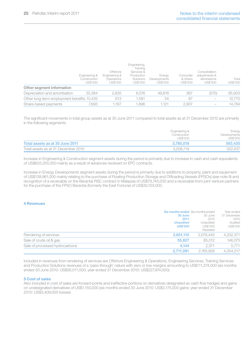|                                            | Engineering &<br>Construction<br>US\$'000 | Offshore<br>Engineering &<br>Operations<br>US\$'000 | Engineering,<br>Training<br>Services &<br>Production<br>Solutions<br>US\$'000 | Enerav<br>Developments<br>US\$'000 | Corporate<br>& others<br>US\$'000 | Consolidation<br>adiustments &<br>eliminations<br>US\$'000 | Total<br>US\$'000 |
|--------------------------------------------|-------------------------------------------|-----------------------------------------------------|-------------------------------------------------------------------------------|------------------------------------|-----------------------------------|------------------------------------------------------------|-------------------|
| Other segment information                  |                                           |                                                     |                                                                               |                                    |                                   |                                                            |                   |
| Depreciation and amortisation              | 35.384                                    | 2.835                                               | 8.076                                                                         | 49.816                             | 367                               | (575)                                                      | 95,903            |
| Other long-term employment benefits 10,435 |                                           | 613                                                 | 1.581                                                                         | 54                                 | 87                                |                                                            | 12,770            |
| Share-based payments                       | 7.693                                     | 1.167                                               | 1.896                                                                         | .121                               | 2.907                             |                                                            | 14.784            |

The significant movements in total group assets as at 30 June 2011 compared to total assets as at 31 December 2010 are primarily in the following segments:

|                                     | Engineering &<br>Construction<br>US\$'000 | Energy<br>Developments<br>US\$'000 |
|-------------------------------------|-------------------------------------------|------------------------------------|
| Total assets as at 30 June 2011     | 3.780.018                                 | 563,435                            |
| Total assets as at 31 December 2010 | 3.008.719                                 | 322.437                            |

Increase in Engineering & Construction segment assets during the period is primarily due to increase in cash and cash equivalents of US\$833,255,000 mainly as a result of advances received on EPC contracts.

Increase in Energy Developments segment assets during the period is primarily due to additions to property, plant and equipment of US\$138,961,000 mainly relating to the purchase of Floating Production Storage and Offloading Vessels (FPSOs) (see note 9) and recognition of a receivable on the Berantai RSC contract in Malaysia of US\$79,745,000 and a receivable from joint venture partners for the purchase of the FPSO Berantai (formerly the East Fortune) of US\$30,103,000.

### 4 Revenues

|                                | Six months ended Six months ended |           | Year ended  |
|--------------------------------|-----------------------------------|-----------|-------------|
|                                | 30 June                           | 30 June   | 31 December |
|                                | 2011                              | 2010      | 2010        |
|                                | <b>Unaudited</b>                  | Unaudited | Audited     |
|                                | <b>US\$'000</b>                   | US\$'000  | US\$'000    |
|                                |                                   | Restated  |             |
| Rendering of services          | 2.651.110                         | 2.078.445 | 4,202,371   |
| Sale of crude oil & gas        | 55,827                            | 85.012    | 146.075     |
| Sale of processed hydrocarbons | 4.144                             | 2.371     | 5.771       |
|                                | 2.711.081                         | 2.165.828 | 4.354.217   |

Included in revenues from rendering of services are Offshore Engineering & Operations, Engineering Services, Training Services and Production Solutions revenues of a 'pass-through' nature with zero or low margins amounting to US\$111,274,000 (six months ended 30 June 2010: US\$95,011,000; year ended 31 December 2010: US\$227,974,000).

#### 5 Cost of sales

Also included in cost of sales are forward points and ineffective portions on derivatives designated as cash flow hedges and gains on undesignated derivatives of US\$1,150,000 (six months ended 30 June 2010: US\$3,175,000 gains; year ended 31 December 2010: US\$3,409,000 losses).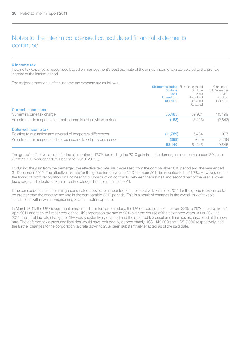# Notes to the interim condensed consolidated financial statements continued

#### 6 Income tax

Income tax expense is recognised based on management's best estimate of the annual income tax rate applied to the pre tax income of the interim period.

The major components of the income tax expense are as follows:

|                                                                   | <b>SIX INDINIS BRUSH AXILIMINS BRUSH</b> |           | leal ellueu |
|-------------------------------------------------------------------|------------------------------------------|-----------|-------------|
|                                                                   | 30 June                                  | 30 June   | 31 December |
|                                                                   | 2011                                     | 2010      | 2010        |
|                                                                   | <b>Unaudited</b>                         | Unaudited | Audited     |
|                                                                   | <b>US\$'000</b>                          | US\$'000  | US\$'000    |
|                                                                   |                                          | Restated  |             |
| Current income tax                                                |                                          |           |             |
| Current income tax charge                                         | 65,485                                   | 59,921    | 115.199     |
| Adjustments in respect of current income tax of previous periods  | (158)                                    | (3,495)   | (2,843)     |
| Deferred income tax                                               |                                          |           |             |
| Relating to origination and reversal of temporary differences     | (11.789)                                 | 5.484     | 907         |
| Adjustments in respect of deferred income tax of previous periods | (398)                                    | (665)     | (2, 718)    |
|                                                                   | 53.140                                   | 61.245    | 110,545     |
|                                                                   |                                          |           |             |

The group's effective tax rate for the six months is 17.7% (excluding the 2010 gain from the demerger; six months ended 30 June 2010: 21.0%; year ended 31 December 2010: 20.3%).

Excluding the gain from the demerger, the effective tax rate has decreased from the comparable 2010 period and the year ended 31 December 2010. The effective tax rate for the group for the year to 31 December 2011 is expected to be 21.7%. However, due to the timing of profit recognition on Engineering & Construction contracts between the first half and second half of the year, a lower tax charge and effective tax rate is acknowledged in the first half of 2011.

If the consequences of the timing issues noted above are accounted for, the effective tax rate for 2011 for the group is expected to be greater than the effective tax rate in the comparable 2010 periods. This is a result of changes in the overall mix of taxable jurisdictions within which Engineering & Construction operate.

In March 2011, the UK Government announced its intention to reduce the UK corporation tax rate from 28% to 26% effective from 1 April 2011 and then to further reduce the UK corporation tax rate to 23% over the course of the next three years. As of 30 June 2011, the initial tax rate change to 26% was substantively enacted and the deferred tax asset and liabilities are disclosed at the new rate. The deferred tax assets and liabilities would have reduced by approximately US\$1,142,000 and US\$17,000 respectively, had the further changes to the corporation tax rate down to 23% been substantively enacted as of the said date.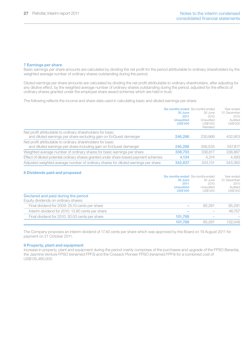#### 7 Earnings per share

Basic earnings per share amounts are calculated by dividing the net profit for the period attributable to ordinary shareholders by the weighted average number of ordinary shares outstanding during the period.

Diluted earnings per share amounts are calculated by dividing the net profit attributable to ordinary shareholders, after adjusting for any dilutive effect, by the weighted average number of ordinary shares outstanding during the period, adjusted for the effects of ordinary shares granted under the employee share award schemes which are held in trust.

The following reflects the income and share data used in calculating basic and diluted earnings per share:

|                                                                                       | Six months ended Six months ended<br>30 June<br>2011<br><b>Unaudited</b><br><b>US\$'000</b> | 30 June<br>2010<br>Unaudited<br>US\$'000<br>Restated | Year ended<br>31 December<br>2010<br>Audited<br>US\$'000 |
|---------------------------------------------------------------------------------------|---------------------------------------------------------------------------------------------|------------------------------------------------------|----------------------------------------------------------|
| Net profit attributable to ordinary shareholders for basic                            |                                                                                             |                                                      |                                                          |
| and diluted earnings per share excluding gain on EnQuest demerger                     | 246,286                                                                                     | 230,966                                              | 432,953                                                  |
| Net profit attributable to ordinary shareholders for basic                            |                                                                                             |                                                      |                                                          |
| and diluted earnings per share including gain on EnQuest demerger                     | 246,286                                                                                     | 356,535                                              | 557.817                                                  |
| Weighted average number of ordinary shares for basic earnings per share               | 338,703                                                                                     | 338.817                                              | 338,867                                                  |
| Effect of diluted potential ordinary shares granted under share-based payment schemes | 4.134                                                                                       | 4.314                                                | 4.493                                                    |
| Adjusted weighted average number of ordinary shares for diluted earnings per share    | 342.837                                                                                     | 343.131                                              | 343,360                                                  |

### 8 Dividends paid and proposed

|                                                  | <b>Six months ended</b> Six months ended |           | Year ended  |
|--------------------------------------------------|------------------------------------------|-----------|-------------|
|                                                  | 30 June                                  | 30 June   | 31 December |
|                                                  | 2011                                     | 2010      | 2010        |
|                                                  | <b>Unaudited</b>                         | Unaudited | Audited     |
|                                                  | <b>US\$'000</b>                          | US\$'000  | US\$'000    |
| Declared and paid during the period              |                                          |           |             |
| Equity dividends on ordinary shares:             |                                          |           |             |
| Final dividend for 2009: 25.10 cents per share   |                                          | 85.291    | 85.291      |
| Interim dividend for 2010: 13.80 cents per share |                                          |           | 46.757      |
| Final dividend for 2010: 30.00 cents per share   | 101.788                                  |           |             |
|                                                  | 101.788                                  | 85,291    | 132.048     |

The Company proposes an interim dividend of 17.40 cents per share which was approved by the Board on 19 August 2011 for payment on 21 October 2011.

#### 9 Property, plant and equipment

Increase in property, plant and equipment during the period mainly comprises of the purchases and upgrade of the FPSO Berantai, the Jasmine Venture FPSO (renamed FPF3) and the Cossack Pioneer FPSO (renamed FPF4) for a combined cost of US\$135,465,000.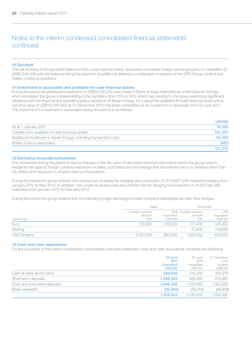# Notes to the interim condensed consolidated financial statements continued

#### 10 Goodwill

The net increase in the goodwill balance in the current period mainly represents unrealised foreign exchange gains on translation of US\$2,546,000 with the balance being the payment of additional deferred consideration in respect of the SPD Group Limited and Caltec Limited acquisitions.

#### 11 Investment in associates and available-for-sale financial assets

During the period an additional investment of US\$50,000,000 was made in Seven Energy International Limited (Seven Energy) which increased the group's shareholding in the company from 15% to 20% which has resulted in the group exercising significant influence over the financial and operating policy decisions of Seven Energy. As a result the available-for-sale financial asset with a carrying value of US\$101,251,000 at 31 December 2010 has been reclassified as an investment in associate from 10 June 2011. The movement in investment in associates during the period is as follows:

|                                                                    | <b>US\$'000</b> |
|--------------------------------------------------------------------|-----------------|
| As at 1 January 2011                                               | 16.349          |
| Transfer from available-for-sale financial assets                  | 101.251         |
| Additional investment in Seven Energy, including transaction costs | 50,359          |
| Share of loss in associates                                        | (687)           |
|                                                                    | 167.272         |

### 12 Derivative financial instruments

The movement during the period is due to changes in the fair value of derivative financial instruments which the group uses to hedge its risk against foreign currency exposure on sales, purchases and borrowings that are entered into in a currency other than US dollars and exposure to oil price revenue fluctuations.

During the period the group entered into various fuel oil swaps for hedging gas production of 12,700MT with maturities ranging from January 2012 to May 2012. In addition, two crude oil swaps were also entered into for hedging oil production of 16,800 bbl with maturities from January 2012 to February 2012.

During the period the group entered into the following foreign exchange forward contracts designated as cash flow hedges:

|                    | Sales                              |                        | Purchases                               |                                |
|--------------------|------------------------------------|------------------------|-----------------------------------------|--------------------------------|
| Currencies         | Foreign currency<br>amount<br>'000 | equivalent<br>US\$'000 | US\$ Foreign currency<br>amount<br>'000 | US\$<br>equivalent<br>US\$'000 |
| Euro               | 153.925                            | 218.639                | 311.400                                 | 425,422                        |
| Sterling           | $\overline{\phantom{a}}$           | $\hspace{0.05cm}$      | 72,800                                  | 118.668                        |
| <b>UAE Dirhams</b> | 3.307.095                          | 900,000                | .652.850                                | 450,000                        |

#### 13 Cash and cash equivalents

For the purposes of the interim condensed consolidated cash flow statement, cash and cash equivalents comprise the following:

|                              | 30 June<br>2011<br><b>Unaudited</b><br><b>US\$'000</b> | 30 June<br>2010<br>Unaudited<br>US\$'000 | 31 December<br>2010<br>Audited<br>US\$'000 |
|------------------------------|--------------------------------------------------------|------------------------------------------|--------------------------------------------|
| Cash at bank and in hand     | 359,846                                                | 215,356                                  | 244.018                                    |
| Short-term deposits          | 1.488.403                                              | 859,497                                  | 818.987                                    |
| Cash and short-term deposits | 1.848.249                                              | 1.074.853                                | 1.063.005                                  |
| Bank overdrafts              | (29.595)                                               | (29.218)                                 | (28,908)                                   |
|                              | 1.818.654                                              | 1.045.635                                | 1.034.097                                  |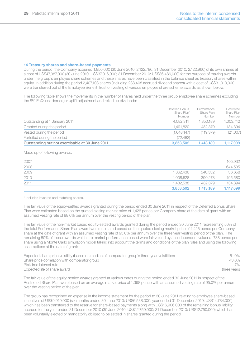#### 14 Treasury shares and share-based payments

During the period, the Company acquired 1,950,000 (30 June 2010: 2,122,786; 31 December 2010: 2,122,960) of its own shares at a cost of US\$47,387,000 (30 June 2010: US\$37,016,000; 31 December 2010: US\$36,486,000) for the purpose of making awards under the group's employee share schemes and these shares have been classified in the balance sheet as treasury shares within equity. In addition during the period 2,407,103 shares (including 288,408 accrued dividend shares) with a cost of US\$31,013,000 were transferred out of the Employee Benefit Trust on vesting of various employee share scheme awards as shown below.

The following table shows the movements in the number of shares held under the three group employee share schemes excluding the 8% EnQuest demerger uplift adjustment and rolled up dividends:

|                                                 | Deferred Bonus<br>Share Plan*<br>Number | Performance<br>Share Plan<br>Number | Restricted<br>Share Plan<br>Number |
|-------------------------------------------------|-----------------------------------------|-------------------------------------|------------------------------------|
| Outstanding at 1 January 2011                   | 4.082.311                               | 1.350.189                           | 1,003,712                          |
| Granted during the period                       | 1.491.820                               | 482.379                             | 134,394                            |
| Vested during the period                        | (1.648.147)                             | (419.379)                           | (21,007)                           |
| Forfeited during the period                     | (72.482)                                | $\sim$                              |                                    |
| Outstanding but not exercisable at 30 June 2011 | 3.853.502                               | 1.413.189                           | 1.117.099                          |

Made up of following awards:

| 2007 | $\sim$    | $\sim$                   | 105.932   |
|------|-----------|--------------------------|-----------|
| 2008 | $\sim$    | $\overline{\phantom{m}}$ | 644,535   |
| 2009 | 1.362.436 | 540.532                  | 36.658    |
| 2010 | 1.008.528 | 390.278                  | 195,580   |
| 2011 | 1.482.538 | 482.379                  | 134,394   |
|      | 3,853,502 | 1.413.189                | 1,117,099 |

\* Includes invested and matching shares.

The fair value of the equity-settled awards granted during the period ended 30 June 2011 in respect of the Deferred Bonus Share Plan were estimated based on the quoted closing market price of 1,426 pence per Company share at the date of grant with an assumed vesting rate of 98.0% per annum over the vesting period of the plan.

The fair value of the non-market based equity-settled awards granted during the period ended 30 June 2011 representing 50% of the total Performance Share Plan award were estimated based on the quoted closing market price of 1,426 pence per Company share at the date of grant with an assumed vesting rate of 95.0% per annum over the three year vesting period of the plan. The remaining 50% of these awards which are market performance based were fair valued by an independent valuer at 788 pence per share using a Monte Carlo simulation model taking into account the terms and conditions of the plan rules and using the following assumptions at the date of grant:

| Expected share price volatility (based on median of comparator group's three-year volatilities) | 51.0%       |
|-------------------------------------------------------------------------------------------------|-------------|
| Share price correlation with comparator group                                                   | 43.0%       |
| Risk-free interest rate                                                                         | 17%         |
| Expected life of share award                                                                    | three years |

The fair value of the equity-settled awards granted at various dates during the period ended 30 June 2011 in respect of the Restricted Share Plan were based on an average market price of 1,398 pence with an assumed vesting rate of 95.0% per annum over the vesting period of the plan.

The group has recognised an expense in the income statement for the period to 30 June 2011 relating to employee share-based incentives of US\$9,910,000 (six months ended 30 June 2010: US\$6,538,000; year ended 31 December 2010: US\$14,784,000) which has been transferred to the reserve for share-based payments along with US\$16,906,000 of the remaining bonus liability accrued for the year ended 31 December 2010 (30 June 2010: US\$12,750,000; 31 December 2010: US\$12,750,000) which has been voluntarily elected or mandatorily obliged to be settled in shares granted during the period.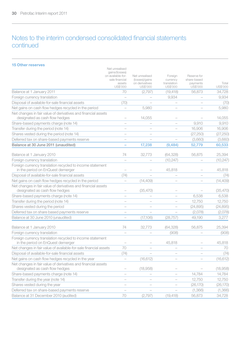# Notes to the interim condensed consolidated financial statements continued

15 Other reserves

| <b>15 Other reserves</b>                                                                        | Net unrealised                                                              |                                                                |                                                |                                                    |                   |
|-------------------------------------------------------------------------------------------------|-----------------------------------------------------------------------------|----------------------------------------------------------------|------------------------------------------------|----------------------------------------------------|-------------------|
|                                                                                                 | gains/(losses)<br>on available-for-<br>sale financial<br>assets<br>US\$'000 | Net unrealised<br>(losses)/gains<br>on derivatives<br>US\$'000 | Foreign<br>currency<br>translation<br>US\$'000 | Reserve for<br>share-based<br>payments<br>US\$'000 | Total<br>US\$'000 |
| Balance at 1 January 2011                                                                       | 70                                                                          | (2,797)                                                        | (19, 418)                                      | 56,873                                             | 34,728            |
| Foreign currency translation                                                                    | $\overline{\phantom{0}}$                                                    |                                                                | 9,934                                          | $\overline{\phantom{0}}$                           | 9,934             |
| Disposal of available-for-sale financial assets                                                 | (70)                                                                        |                                                                |                                                |                                                    | (70)              |
| Net gains on cash flow hedges recycled in the period                                            |                                                                             | 5,980                                                          |                                                |                                                    | 5,980             |
| Net changes in fair value of derivatives and financial assets<br>designated as cash flow hedges |                                                                             | 14.055                                                         |                                                |                                                    | 14.055            |
| Share-based payments charge (note 14)                                                           | ÷                                                                           |                                                                |                                                | 9.910                                              | 9.910             |
| Transfer during the period (note 14)                                                            | $\overline{\phantom{a}}$                                                    | $\overline{\phantom{a}}$                                       | $\overline{\phantom{a}}$                       | 16.906                                             | 16.906            |
| Shares vested during the period (note 14)                                                       | ÷                                                                           |                                                                |                                                | (27, 250)                                          | (27, 250)         |
| Deferred tax on share-based payments reserve                                                    | $\overline{\phantom{a}}$                                                    |                                                                |                                                | (3,660)                                            | (3,660)           |
| Balance at 30 June 2011 (unaudited)                                                             | L.                                                                          | 17,238                                                         | (9.484)                                        | 52,779                                             | 60,533            |
| Balance at 1 January 2010                                                                       | 74                                                                          | 32,773                                                         | (64, 328)                                      | 56,875                                             | 25,394            |
| Foreign currency translation                                                                    | $\overline{\phantom{a}}$                                                    |                                                                | (10, 247)                                      | $\overline{\phantom{0}}$                           | (10, 247)         |
| Foreign currency translation recycled to income statement<br>in the period on EnQuest demerger  |                                                                             |                                                                | 45,818                                         |                                                    | 45.818            |
| Disposal of available-for-sale financial assets                                                 | (74)                                                                        |                                                                | $\overline{\phantom{a}}$                       | $\overline{\phantom{a}}$                           | (74)              |
| Net gains on cash flow hedges recycled in the period                                            | $\overline{\phantom{a}}$                                                    | (14, 409)                                                      | ÷                                              | ÷                                                  | (14, 409)         |
| Net changes in fair value of derivatives and financial assets<br>designated as cash flow hedges |                                                                             | (35, 470)                                                      | $\overline{\phantom{a}}$                       |                                                    | (35, 470)         |
| Share-based payments charge (note 14)                                                           | $\overline{\phantom{0}}$                                                    |                                                                |                                                | 6.538                                              | 6,538             |
| Transfer during the period (note 14)                                                            |                                                                             |                                                                |                                                | 12,750                                             | 12,750            |
| Shares vested during the period                                                                 | $\overline{\phantom{0}}$                                                    | $\overline{\phantom{a}}$                                       | $\overline{\phantom{0}}$                       | (24, 895)                                          | (24, 895)         |
| Deferred tax on share based payments reserve                                                    | $\overline{\phantom{0}}$                                                    |                                                                |                                                | (2,078)                                            | (2,078)           |
| Balance at 30 June 2010 (unaudited)                                                             | ÷                                                                           | (17,106)                                                       | (28, 757)                                      | 49,190                                             | 3,277             |
| Balance at 1 January 2010                                                                       | 74                                                                          | 32,773                                                         | (64, 328)                                      | 56,875                                             | 25,394            |
| Foreign currency translation                                                                    |                                                                             |                                                                | (908)                                          |                                                    | (908)             |
| Foreign currency translation recycled to income statement<br>in the period on EnQuest demerger  |                                                                             |                                                                | 45,818                                         |                                                    | 45,818            |
| Net changes in fair value of available-for-sale financial assets                                | 70                                                                          |                                                                |                                                |                                                    | 70                |
| Disposal of available-for-sale financial assets                                                 | (74)                                                                        |                                                                | ÷                                              | $\overline{\phantom{a}}$                           | (74)              |
| Net gains on cash flow hedges recycled in the year                                              | $\overline{\phantom{0}}$                                                    | (16, 612)                                                      |                                                |                                                    | (16, 612)         |
| Net changes in fair value of derivatives and financial assets<br>designated as cash flow hedges | $\overline{\phantom{0}}$                                                    | (18,958)                                                       | $\overline{\phantom{0}}$                       |                                                    | (18,958)          |
| Share-based payments charge (note 14)                                                           | ÷                                                                           |                                                                | ۰                                              | 14,784                                             | 14,784            |
| Transfer during the year (note 14)                                                              | $\overline{\phantom{0}}$                                                    |                                                                |                                                | 12,750                                             | 12,750            |
| Shares vested during the year                                                                   |                                                                             |                                                                |                                                | (26, 170)                                          | (26, 170)         |
| Deferred tax on share-based payments reserve                                                    | ÷                                                                           |                                                                |                                                | (1, 366)                                           | (1,366)           |
| Balance at 31 December 2010 (audited)                                                           | 70                                                                          | (2,797)                                                        | (19, 418)                                      | 56,873                                             | 34,728            |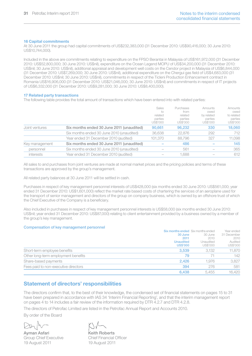#### 16 Capital commitments

At 30 June 2011 the group had capital commitments of US\$232,383,000 (31 December 2010: US\$90,416,000; 30 June 2010: US\$10,744,000).

Included in the above are commitments relating to expenditure on the FPSO Berantai in Malaysia of US\$161,972,000 (31 December 2010: US\$52,800,000; 30 June 2010: US\$nil), expenditure on the Ocean Legend MOPU of US\$34,200,000 (31 December 2010: US\$nil; 30 June 2010: US\$nil), additional appraisal and development well costs on the Cendor project in Malaysia of US\$6,844,000 (31 December 2010: US\$7,269,000; 30 June 2010: US\$nil), additional expenditure on the Chergui gas field of US\$4,683,000 (31 December 2010: US\$nil; 30 June 2010: US\$nil), commitments in respect of the Ticleni Production Enhancement contract in Romania US\$16,906,000 (31 December 2010: US\$21,046,000; 30 June 2010: US\$nil) and commitments in respect of IT projects of US\$6,332,000 (31 December 2010: US\$9,281,000; 30 June 2010: US\$8,400,000).

#### 17 Related party transactions

The following table provides the total amount of transactions which have been entered into with related parties:

|                |                                           | Sales<br>$\infty$<br>related<br>parties<br>US\$'000 | Purchases<br>from<br>related<br>parties<br>US\$'000 | Amounts<br>owed<br>by related<br>parties<br>US\$'000 | Amounts<br>owed<br>to related<br>parties<br>US\$'000 |
|----------------|-------------------------------------------|-----------------------------------------------------|-----------------------------------------------------|------------------------------------------------------|------------------------------------------------------|
| Joint ventures | Six months ended 30 June 2011 (unaudited) | 90.661                                              | 96.232                                              | 330                                                  | 18,060                                               |
|                | Six months ended 30 June 2010 (unaudited) | 36.638                                              | 22.876                                              | 292                                                  | 712                                                  |
|                | Year ended 31 December 2010 (audited)     | 101.370                                             | 88.796                                              | 327                                                  | 11.098                                               |
| Key management | Six months ended 30 June 2011 (unaudited) |                                                     | 486                                                 |                                                      | 145                                                  |
| personnel      | Six months ended 30 June 2010 (unaudited) |                                                     | 561                                                 |                                                      | 365                                                  |
| interests      | Year ended 31 December 2010 (audited)     |                                                     | .688                                                |                                                      | 612                                                  |
|                |                                           |                                                     |                                                     |                                                      |                                                      |

All sales to and purchases from joint ventures are made at normal market prices and the pricing policies and terms of these transactions are approved by the group's management.

All related party balances at 30 June 2011 will be settled in cash.

Purchases in respect of key management personnel interests of US\$428,000 (six months ended 30 June 2010: US\$561,000; year ended 31 December 2010: US\$1,601,000) reflect the market rate based costs of chartering the services of an aeroplane used for the transport of senior management and directors of the group on company business, which is owned by an offshore trust of which the Chief Executive of the Company is a beneficiary.

Also included in purchases in respect of key management personnel interests is US\$58,000 (six months ended 30 June 2010: US\$nil; year ended 31 December 2010: US\$87,000) relating to client entertainment provided by a business owned by a member of the group's key management.

#### Compensation of key management personnel

|                                      | <b>Six months ended</b> Six months ended |                       | Year ended          |
|--------------------------------------|------------------------------------------|-----------------------|---------------------|
|                                      | 30 June                                  | 30 June               | 31 December         |
|                                      | 2011                                     | 2010                  | 2010                |
|                                      | <b>Unaudited</b><br><b>US\$'000</b>      | Unaudited<br>US\$'000 | Audited<br>US\$'000 |
| Short-term employee benefits         | 3.539                                    | 3.132                 | 11,870              |
| Other long-term employment benefits  | 79                                       |                       | 142                 |
| Share-based payments                 | 2.426                                    | 1.976                 | 3,827               |
| Fees paid to non-executive directors | 394                                      | 276                   | 581                 |
|                                      | 6.438                                    | 5.455                 | 16,420              |

# Statement of directors' responsibilities

The directors confirm that, to the best of their knowledge, the condensed set of financial statements on pages 15 to 31 have been prepared in accordance with IAS 34 'Interim Financial Reporting', and that the interim management report on pages 4 to 14 includes a fair review of the information required by DTR 4.2.7 and DTR 4.2.8.

The directors of Petrofac Limited are listed in the Petrofac Annual Report and Accounts 2010.

By order of the Board

Ayman Asfari Group Chief Executive 19 August 2011

Keith Roberts Chief Financial Officer 19 August 2011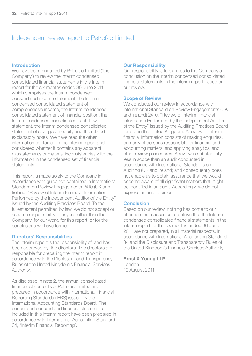# Independent review report to Petrofac Limited

### Introduction

We have been engaged by Petrofac Limited ('the Company') to review the interim condensed consolidated financial statements in the Interim report for the six months ended 30 June 2011 which comprises the Interim condensed consolidated income statement, the Interim condensed consolidated statement of comprehensive income, the Interim condensed consolidated statement of financial position, the Interim condensed consolidated cash flow statement, the Interim condensed consolidated statement of changes in equity and the related explanatory notes. We have read the other information contained in the interim report and considered whether it contains any apparent misstatements or material inconsistencies with the information in the condensed set of financial statements.

This report is made solely to the Company in accordance with guidance contained in International Standard on Review Engagements 2410 (UK and Ireland) "Review of Interim Financial Information Performed by the Independent Auditor of the Entity" issued by the Auditing Practices Board. To the fullest extent permitted by law, we do not accept or assume responsibility to anyone other than the Company, for our work, for this report, or for the conclusions we have formed.

### Directors' Responsibilities

The interim report is the responsibility of, and has been approved by, the directors. The directors are responsible for preparing the interim report in accordance with the Disclosure and Transparency Rules of the United Kingdom's Financial Services Authority.

As disclosed in note 2, the annual consolidated financial statements of Petrofac Limited are prepared in accordance with International Financial Reporting Standards (IFRS) issued by the International Accounting Standards Board. The condensed consolidated financial statements included in this interim report have been prepared in accordance with International Accounting Standard 34, "Interim Financial Reporting".

### Our Responsibility

Our responsibility is to express to the Company a conclusion on the interim condensed consolidated financial statements in the interim report based on our review.

### Scope of Review

We conducted our review in accordance with International Standard on Review Engagements (UK and Ireland) 2410, "Review of Interim Financial Information Performed by the Independent Auditor of the Entity" issued by the Auditing Practices Board for use in the United Kingdom. A review of interim financial information consists of making enquiries. primarily of persons responsible for financial and accounting matters, and applying analytical and other review procedures. A review is substantially less in scope than an audit conducted in accordance with International Standards on Auditing (UK and Ireland) and consequently does not enable us to obtain assurance that we would become aware of all significant matters that might be identified in an audit. Accordingly, we do not express an audit opinion.

### Conclusion

Based on our review, nothing has come to our attention that causes us to believe that the Interim condensed consolidated financial statements in the interim report for the six months ended 30 June 2011 are not prepared, in all material respects, in accordance with International Accounting Standard 34 and the Disclosure and Transparency Rules of the United Kingdom's Financial Services Authority.

# Ernst & Young LLP London

19 August 2011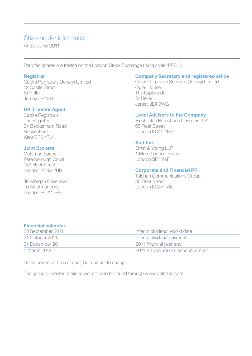# Shareholder information

At 30 June 2011

Petrofac shares are traded on the London Stock Exchange using code 'PFC.L'.

### **Registrar**

Capita Registrars (Jersey) Limited 12 Castle Street St Helier Jersey JE2 3RT

# UK Transfer Agent

Capita Registrars The Registry 34 Beckenham Road Beckenham Kent BR3 4TU

# Joint Brokers

Goldman Sachs Peterborough Court 133 Fleet Street London EC4A 2BB

JP Morgan Cazenove 10 Aldermanbury London EC2V 7RF

# Company Secretary and registered office

Ogier Corporate Services (Jersey) Limited Ogier House The Esplanade St Helier Jersey JE4 9WG

## Legal Advisers to the Company

Freshfields Bruckhaus Deringer LLP 65 Fleet Street London EC4Y 1HS

## Auditors

Ernst & Young LLP 1 More London Place London SE1 2AF

## Corporate and Financial PR

Tulchan Communications Group 85 Fleet Street London EC4Y 1AE

# Financial calendar

| 23 September 2011 | Interim dividend record date        |
|-------------------|-------------------------------------|
| 21 October 2011   | Interim dividend payment            |
| 31 December 2011  | 2011 financial year end             |
| 5 March 2012      | 2011 full year results announcement |

Dates correct at time of print, but subject to change.

The group's investor relations website can be found through www.petrofac.com